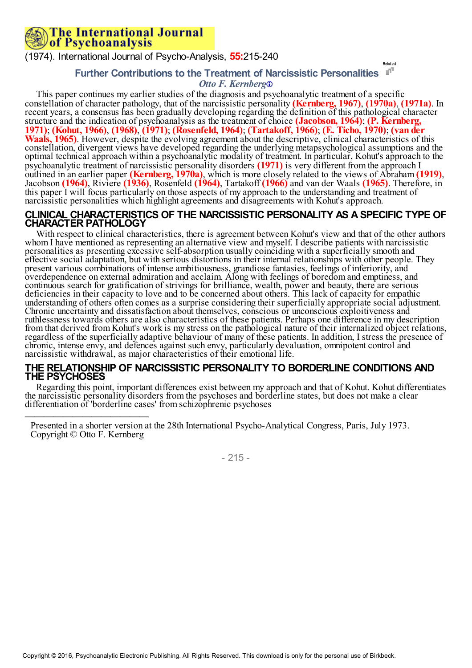

# (1974). International Journal of [Psycho-Analys](http://www.pep-web.org/search.php?journal=ijp)is, **[55:](http://www.pep-web.org/search.php?volume=55&journal=ijp)**215-240

# **Further [Contributions](http://www.pep-web.org/toc.php?journal=ijp&volume=55#p0215) to the Treatment of Narcissistic Personalities** *Otto F. [Kernberg](http://www.pep-web.org/search.php?author=%22Kernberg%2C+O.F.%22)*

Related

This paper continues my earlier studies of the diagnosis and psychoanalytic treatment of a specific constellation of character pathology, that of the narcissistic personality **(Kernberg, 1967)**, **(1970a)**, **(1971a)**. In recent years, a consensus has been gradually developing regarding the definition of this pathological character structure and the indication of psychoanalysis as the treatment of choice **(Jacobson, 1964)**; **(P. Kernberg, 1971)**; **(Kohut, 1966)**, **(1968)**, **(1971)**; **(Rosenfeld, 1964)**; **(Tartakoff, 1966)**; **(E. Ticho, 1970)**; **(van der Waals, 1965)**. However, despite the evolving agreement about the descriptive, clinical characteristics of this constellation, divergent views have developed regarding the underlying metapsychological assumptions and the optimal technical approach within a psychoanalytic modality of treatment. In particular, Kohut's approach to the psychoanalytic treatment of narcissistic personality disorders **(1971)** is very different fromthe approach I outlined in an earlier paper **(Kernberg, 1970a)**, which is more closely related to the views of Abraham**(1919)**, Jacobson **(1964)**, Riviere **(1936)**, Rosenfeld **(1964)**, Tartakoff **(1966)** and van der Waals **(1965)**. Therefore, in this paper I will focus particularly on those aspects of my approach to the understanding and treatment of narcissistic personalities which highlight agreements and disagreements with Kohut's approach.

# **CLINICAL CHARACTERISTICS OF THE NARCISSISTIC PERSONALITY AS ASPECIFIC TYPE OF CHARACTER PATHOLOGY**

With respect to clinical characteristics, there is agreement between Kohut's view and that of the other authors whom I have mentioned as representing an alternative view and myself. I describe patients with narcissistic personalities as presenting excessive self-absorption usually coinciding with a superficially smooth and effective social adaptation, but with serious distortions in their internal relationships with other people. They present various combinations of intense ambitiousness, grandiose fantasies, feelings of inferiority, and overdependence on external admiration and acclaim. Along with feelings of boredomand emptiness, and continuous search for gratification of strivings for brilliance, wealth, power and beauty, there are serious deficiencies in their capacity to love and to be concerned about others. This lack of capacity for empathic understanding of others often comes as a surprise considering their superficially appropriate social adjustment. Chronic uncertainty and dissatisfaction about themselves, conscious or unconscious exploitiveness and ruthlessness towards others are also characteristics of these patients. Perhaps one difference in my description from that derived from Kohut's work is my stress on the pathological nature of their internalized object relations, regardless of the superficially adaptive behaviour of many of these patients. In addition, I stress the presence of chronic, intense envy, and defences against such envy, particularly devaluation, omnipotent control and narcissistic withdrawal, as major characteristics of their emotional life.

# **THE RELATIONSHIP OF NARCISSISTIC PERSONALITY TO BORDERLINE CONDITIONS AND THE PSYCHOSES**

Regarding this point, important differences exist between my approach and that of Kohut. Kohut differentiates the narcissistic personality disorders fromthe psychoses and borderline states, but does not make a clear differentiation of 'borderline cases' fromschizophrenic psychoses

————————————— Presented in a shorter version at the 28th International Psycho-Analytical Congress, Paris, July 1973. Copyright © Otto F. Kernberg

 $-215-$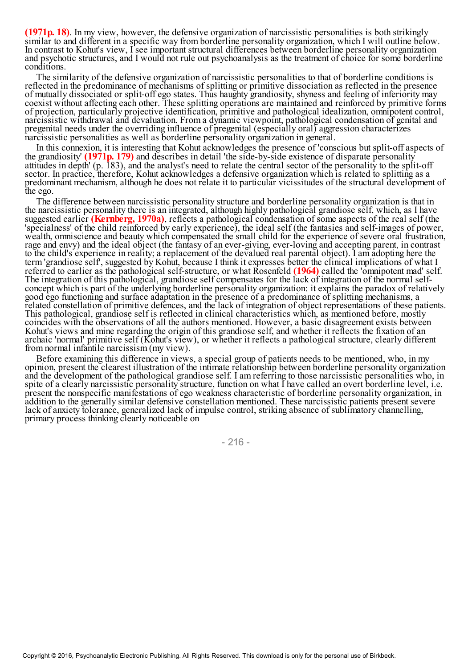**(1971p. [18\)](http://www.pep-web.org/document.php?id=zbk.049.0001a#p0018)**. In my view, however, the defensive organization of narcissistic personalities is both strikingly similar to and different in a specific way fromborderline personality organization, which I will outline below. In contrast to Kohut's view, I see important structural differences between borderline personality organization and psychotic structures, and I would not rule out psychoanalysis as the treatment of choice for some borderline conditions.

The similarity of the defensive organization of narcissistic personalities to that of borderline conditions is reflected in the predominance of mechanisms of splitting or primitive dissociation as reflected in the presence of mutually dissociated or split-off ego states. Thus haughty grandiosity, shyness and feeling of inferiority may coexist without affecting each other. These splitting operations are maintained and reinforced by primitive forms of projection, particularly projective identification, primitive and pathological idealization, omnipotent control, narcissistic withdrawal and devaluation. Froma dynamic viewpoint, pathological condensation of genital and pregenital needs under the overriding influence of pregenital (especially oral) aggression characterizes narcissistic personalities as well as borderline personality organization in general.

In this connexion, it is interesting that Kohut acknowledges the presence of 'conscious but split-off aspects of the grandiosity' **(1971p. [179\)](http://www.pep-web.org/document.php?id=zbk.049.0001a#p0179)** and describes in detail 'the side-by-side existence of disparate personality attitudes in depth' (p. 183), and the analyst's need to relate the central sector of the personality to the split-off sector. In practice, therefore, Kohut acknowledges a defensive organization which is related to splitting as a predominant mechanism, although he does not relate it to particular vicissitudes of the structural development of the ego.

The difference between narcissistic personality structure and borderline personality organization is that in the narcissistic personality there is an integrated, although highly pathological grandiose self, which, as I have suggested earlier **(Kernberg, 1970a)**, reflects a pathological condensation of some aspects of the real self (the 'specialness' of the child reinforced by early experience), the ideal self (the fantasies and self-images of power, wealth, omniscience and beauty which compensated the small child for the experience of severe oral frustration, rage and envy) and the ideal object (the fantasy of an ever-giving, ever-loving and accepting parent, in contrast to the child's experience in reality; a replacement of the devalued real parental object). I am adopting here the term'grandiose self', suggested by Kohut, because I think it expresses better the clinical implications of what I referred to earlier as the pathological self-structure, or what Rosenfeld **(1964)** called the 'omnipotent mad' self. The integration of this pathological, grandiose self compensates for the lack of integration of the normal selfconcept which is part of the underlying borderline personality organization: it explains the paradox of relatively good ego functioning and surface adaptation in the presence of a predominance of splitting mechanisms, a related constellation of primitive defences, and the lack of integration of object representations of these patients. This pathological, grandiose self is reflected in clinical characteristics which, as mentioned before, mostly coincides with the observations of all the authors mentioned. However, a basic disagreement exists between Kohut's views and mine regarding the origin of this grandiose self, and whether it reflects the fixation of an archaic 'normal' primitive self (Kohut's view), or whether it reflects a pathological structure, clearly different fromnormal infantile narcissism(my view).

Before examining this difference in views, a special group of patients needs to be mentioned, who, in my opinion, present the clearest illustration of the intimate relationship between borderline personality organization and the development of the pathological grandiose self. I amreferring to those narcissistic personalities who, in spite of a clearly narcissistic personality structure, function on what I have called an overt borderline level, i.e. present the nonspecific manifestations of ego weakness characteristic of borderline personality organization, in addition to the generally similar defensive constellation mentioned. These narcissistic patients present severe lack of anxiety tolerance, generalized lack of impulse control, striking absence of sublimatory channelling, primary process thinking clearly noticeable on

- 216 -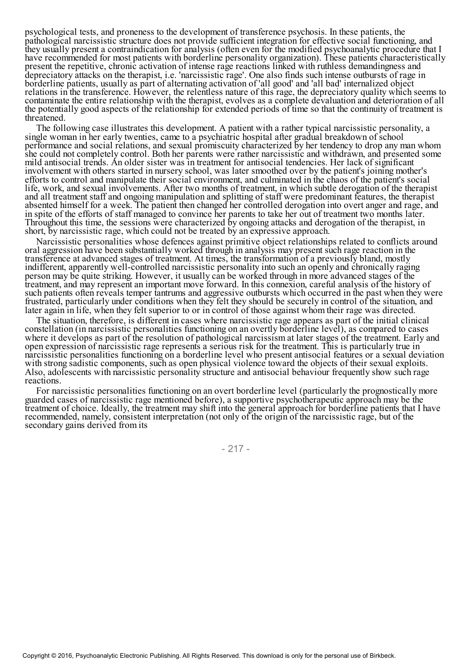psychological tests, and proneness to the development of transference psychosis. In these patients, the pathological narcissistic structure does not provide sufficient integration for effective social functioning, and they usually present a contraindication for analysis (often even for the modified psychoanalytic procedure that I have recommended for most patients with borderline personality organization). These patients characteristically present the repetitive, chronic activation of intense rage reactions linked with ruthless demandingness and depreciatory attacks on the therapist, i.e. 'narcissistic rage'. One also finds such intense outbursts of rage in borderline patients, usually as part of alternating activation of 'all good' and 'all bad' internalized object relations in the transference. However, the relentless nature of this rage, the depreciatory quality which seems to contaminate the entire relationship with the therapist, evolves as a complete devaluation and deterioration of all the potentially good aspects of the relationship for extended periods of time so that the continuity of treatment is threatened.

The following case illustrates this development. A patient with a rather typical narcissistic personality, a single woman in her early twenties, came to a psychiatric hospital after gradual breakdown of school performance and social relations, and sexual promiscuity characterized by her tendency to drop any man whom she could not completely control. Both her parents were rather narcissistic and withdrawn, and presented some mild antisocial trends. An older sister was in treatment for antisocial tendencies. Her lack of significant involvement with others started in nursery school, was later smoothed over by the patient's joining mother's efforts to control and manipulate their social environment, and culminated in the chaos of the patient's social life, work, and sexual involvements. After two months of treatment, in which subtle derogation of the therapist and all treatment staff and ongoing manipulation and splitting of staff were predominant features, the therapist absented himself for a week. The patient then changed her controlled derogation into overt anger and rage, and in spite of the efforts of staff managed to convince her parents to take her out of treatment two months later. Throughout this time, the sessions were characterized by ongoing attacks and derogation of the therapist, in short, by narcissistic rage, which could not be treated by an expressive approach.

Narcissistic personalities whose defences against primitive object relationships related to conflicts around oral aggression have been substantially worked through in analysis may present such rage reaction in the transference at advanced stages of treatment. At times, the transformation of a previously bland, mostly indifferent, apparently well-controlled narcissistic personality into such an openly and chronically raging person may be quite striking. However, it usually can be worked through in more advanced stages of the treatment, and may represent an important move forward. In this connexion, careful analysis of the history of such patients often reveals temper tantrums and aggressive outbursts which occurred in the past when they were frustrated, particularly under conditions when they felt they should be securely in control of the situation, and later again in life, when they felt superior to or in control of those against whom their rage was directed.

The situation, therefore, is different in cases where narcissistic rage appears as part of the initial clinical constellation (in narcissistic personalities functioning on an overtly borderline level), as compared to cases where it develops as part of the resolution of pathological narcissism at later stages of the treatment. Early and open expression of narcissistic rage represents a serious risk for the treatment. This is particularly true in narcissistic personalities functioning on a borderline level who present antisocial features or a sexual deviation with strong sadistic components, such as open physical violence toward the objects of their sexual exploits. Also, adolescents with narcissistic personality structure and antisocial behaviour frequently show such rage reactions.

For narcissistic personalities functioning on an overt borderline level (particularly the prognostically more guarded cases of narcissistic rage mentioned before), a supportive psychotherapeutic approach may be the treatment of choice. Ideally, the treatment may shift into the general approach for borderline patients that I have recommended, namely, consistent interpretation (not only of the origin of the narcissistic rage, but of the secondary gains derived fromits

- 217 -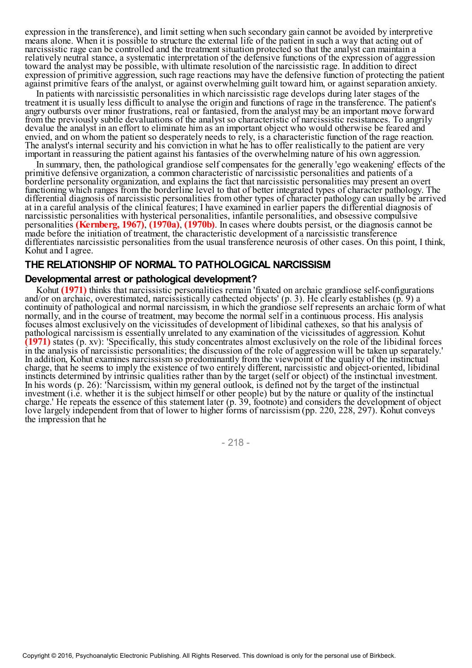expression in the transference), and limit setting when such secondary gain cannot be avoided by interpretive means alone. When it is possible to structure the external life of the patient in such a way that acting out of narcissistic rage can be controlled and the treatment situation protected so that the analyst can maintain a relatively neutral stance, a systematic interpretation of the defensive functions of the expression of aggression toward the analyst may be possible, with ultimate resolution of the narcissistic rage. In addition to direct expression of primitive aggression, such rage reactions may have the defensive function of protecting the patient against primitive fears of the analyst, or against overwhelming guilt toward him, or against separation anxiety.

In patients with narcissistic personalities in which narcissistic rage develops during later stages of the treatment it is usually less difficult to analyse the origin and functions of rage in the transference. The patient's angry outbursts over minor frustrations, real or fantasied, fromthe analyst may be an important move forward fromthe previously subtle devaluations of the analyst so characteristic of narcissistic resistances. To angrily devalue the analyst in an effort to eliminate himas an important object who would otherwise be feared and envied, and on whomthe patient so desperately needs to rely, is a characteristic function of the rage reaction. The analyst's internal security and his conviction in what he has to offer realistically to the patient are very important in reassuring the patient against his fantasies of the overwhelming nature of his own aggression.

In summary, then, the pathological grandiose self compensates for the generally 'ego weakening' effects of the primitive defensive organization, a common characteristic of narcissistic personalities and patients of a borderline personality organization, and explains the fact that narcissistic personalities may present an overt functioning which ranges fromthe borderline level to that of better integrated types of character pathology. The differential diagnosis of narcissistic personalities fromother types of character pathology can usually be arrived at in a careful analysis of the clinical features; I have examined in earlier papers the differential diagnosis of narcissistic personalities with hysterical personalities, infantile personalities, and obsessive compulsive personalities **(Kernberg, 1967)**, **(1970a)**, **(1970b)**. In cases where doubts persist, or the diagnosis cannot be made before the initiation of treatment, the characteristic development of a narcissistic transference differentiates narcissistic personalities fromthe usual transference neurosis of other cases. On this point, I think, Kohut and I agree.

# **THE RELATIONSHIP OF NORMAL TO PATHOLOGICAL NARCISSISM**

# **Developmental arrest or pathological development?**

Kohut **(1971)** thinks that narcissistic personalities remain 'fixated on archaic grandiose self-configurations and/or on archaic, overestimated, narcissistically cathected objects' (p. 3). He clearly establishes (p. 9) a continuity of pathological and normal narcissism, in which the grandiose self represents an archaic formof what normally, and in the course of treatment, may become the normal self in a continuous process. His analysis focuses almost exclusively on the vicissitudes of development of libidinal cathexes, so that his analysis of pathological narcissismis essentially unrelated to any examination of the vicissitudes of aggression. Kohut **(1971)** states (p. xv): 'Specifically, this study concentrates almost exclusively on the role of the libidinal forces in the analysis of narcissistic personalities; the discussion of the role of aggression will be taken up separately.' In addition, Kohut examines narcissism so predominantly from the viewpoint of the quality of the instinctual charge, that he seems to imply the existence of two entirely different, narcissistic and object-oriented, libidinal instincts determined by intrinsic qualities rather than by the target (self or object) of the instinctual investment. In his words (p. 26): 'Narcissism, within my general outlook, is defined not by the target of the instinctual investment (i.e. whether it is the subject himself or other people) but by the nature or quality of the instinctual charge.' He repeats the essence of this statement later (p. 39, footnote) and considers the development of object love largely independent from that of lower to higher forms of narcissism (pp. 220, 228, 297). Kohut conveys the impression that he

- 218 -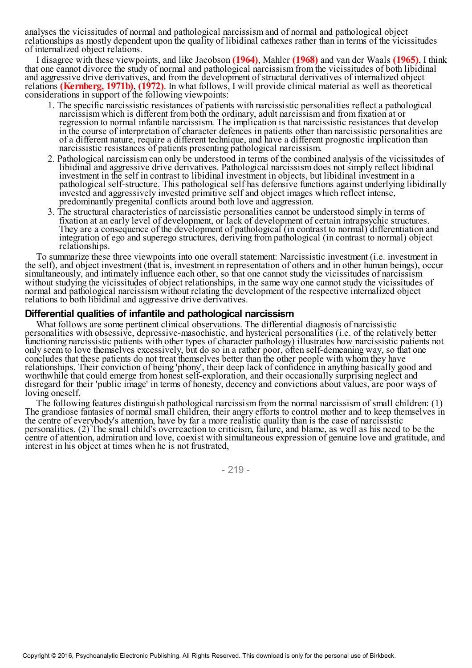analyses the vicissitudes of normal and pathological narcissismand of normal and pathological object relationships as mostly dependent upon the quality of libidinal cathexes rather than in terms of the vicissitudes of internalized object relations.

I disagree with these viewpoints, and like Jacobson **(1964)**, Mahler **(1968)** and van der Waals **(1965)**, I think that one cannot divorce the study of normal and pathological narcissismfromthe vicissitudes of both libidinal and aggressive drive derivatives, and fromthe development of structural derivatives of internalized object relations **(Kernberg, 1971b)**, **(1972)**. In what follows, I will provide clinical material as well as theoretical considerations in support of the following viewpoints:

- 1. The specific narcissistic resistances of patients with narcissistic personalities reflect a pathological narcissismwhich is different fromboth the ordinary, adult narcissismand fromfixation at or regression to normal infantile narcissism. The implication is that narcissistic resistances that develop in the course of interpretation of character defences in patients other than narcissistic personalities are of a different nature, require a different technique, and have a different prognostic implication than narcissistic resistances of patients presenting pathological narcissism.
- 2. Pathological narcissismcan only be understood in terms of the combined analysis of the vicissitudes of libidinal and aggressive drive derivatives. Pathological narcissismdoes not simply reflect libidinal investment in the self in contrast to libidinal investment in objects, but libidinal investment in a pathological self-structure. This pathological self has defensive functions against underlying libidinally invested and aggressively invested primitive self and object images which reflect intense, predominantly pregenital conflicts around both love and aggression.
- 3. The structural characteristics of narcissistic personalities cannot be understood simply in terms of fixation at an early level of development, or lack of development of certain intrapsychic structures. They are a consequence of the development of pathological (in contrast to normal) differentiation and integration of ego and superego structures, deriving frompathological (in contrast to normal) object relationships.

To summarize these three viewpoints into one overall statement: Narcissistic investment (i.e. investment in the self), and object investment (that is, investment in representation of others and in other human beings), occur simultaneously, and intimately influence each other, so that one cannot study the vicissitudes of narcissism without studying the vicissitudes of object relationships, in the same way one cannot study the vicissitudes of normal and pathological narcissismwithout relating the development of the respective internalized object relations to both libidinal and aggressive drive derivatives.

# **Differential qualities of infantile and pathological narcissism**

What follows are some pertinent clinical observations. The differential diagnosis of narcissistic personalities with obsessive, depressive-masochistic, and hysterical personalities (i.e. of the relatively better functioning narcissistic patients with other types of character pathology) illustrates how narcissistic patients not only seemto love themselves excessively, but do so in a rather poor, often self-demeaning way, so that one concludes that these patients do not treat themselves better than the other people with whomthey have relationships. Their conviction of being 'phony', their deep lack of confidence in anything basically good and worthwhile that could emerge fromhonest self-exploration, and their occasionally surprising neglect and disregard for their 'public image' in terms of honesty, decency and convictions about values, are poor ways of loving oneself.

The following features distinguish pathological narcissism from the normal narcissism of small children: (1) The grandiose fantasies of normal small children, their angry efforts to control mother and to keep themselves in the centre of everybody's attention, have by far a more realistic quality than is the case of narcissistic personalities. (2) The small child's overreaction to criticism, failure, and blame, as well as his need to be the centre of attention, admiration and love, coexist with simultaneous expression of genuine love and gratitude, and interest in his object at times when he is not frustrated,

- 219 -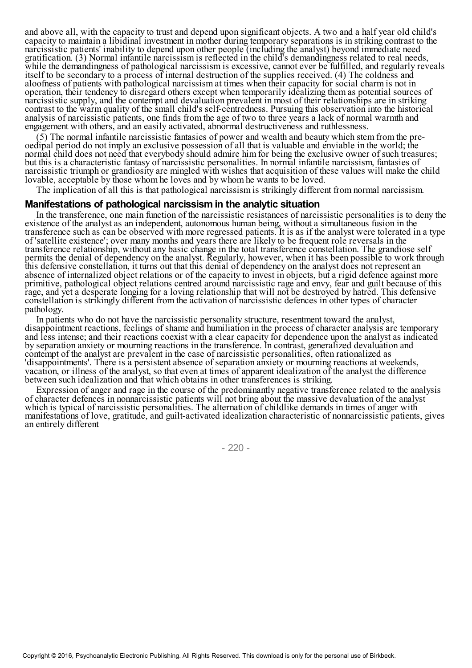and above all, with the capacity to trust and depend upon significant objects. A two and a half year old child's capacity to maintain a libidinal investment in mother during temporary separations is in striking contrast to the narcissistic patients' inability to depend upon other people (including the analyst) beyond immediate need gratification. (3) Normal infantile narcissismis reflected in the child's demandingness related to real needs, while the demandingness of pathological narcissism is excessive, cannot ever be fulfilled, and regularly reveals itself to be secondary to a process of internal destruction of the supplies received. (4) The coldness and aloofness of patients with pathological narcissismat times when their capacity for social charmis not in operation, their tendency to disregard others except when temporarily idealizing themas potential sources of narcissistic supply, and the contempt and devaluation prevalent in most of their relationships are in striking contrast to the warmquality of the small child's self-centredness. Pursuing this observation into the historical analysis of narcissistic patients, one finds fromthe age of two to three years a lack of normal warmth and engagement with others, and an easily activated, abnormal destructiveness and ruthlessness.

(5) The normal infantile narcissistic fantasies of power and wealth and beauty which stemfromthe preoedipal period do not imply an exclusive possession of all that is valuable and enviable in the world; the normal child does not need that everybody should admire him for being the exclusive owner of such treasures; but this is a characteristic fantasy of narcissistic personalities. In normal infantile narcissism, fantasies of narcissistic triumph or grandiosity are mingled with wishes that acquisition of these values will make the child lovable, acceptable by those whomhe loves and by whomhe wants to be loved.

The implication of all this is that pathological narcissismis strikingly different fromnormal narcissism.

#### **Manifestations of pathological narcissism in the analytic situation**

In the transference, one main function of the narcissistic resistances of narcissistic personalities is to deny the existence of the analyst as an independent, autonomous human being, without a simultaneous fusion in the transference such as can be observed with more regressed patients. It is as if the analyst were tolerated in a type of 'satellite existence'; over many months and years there are likely to be frequent role reversals in the transference relationship, without any basic change in the total transference constellation. The grandiose self permits the denial of dependency on the analyst. Regularly, however, when it has been possible to work through this defensive constellation, it turns out that this denial of dependency on the analyst does not represent an absence of internalized object relations or of the capacity to invest in objects, but a rigid defence against more primitive, pathological object relations centred around narcissistic rage and envy, fear and guilt because of this rage, and yet a desperate longing for a loving relationship that will not be destroyed by hatred. This defensive constellation is strikingly different fromthe activation of narcissistic defences in other types of character pathology.

In patients who do not have the narcissistic personality structure, resentment toward the analyst, disappointment reactions, feelings of shame and humiliation in the process of character analysis are temporary and less intense; and their reactions coexist with a clear capacity for dependence upon the analyst as indicated by separation anxiety or mourning reactions in the transference. In contrast, generalized devaluation and contempt of the analyst are prevalent in the case of narcissistic personalities, often rationalized as 'disappointments'. There is a persistent absence of separation anxiety or mourning reactions at weekends, vacation, or illness of the analyst, so that even at times of apparent idealization of the analyst the difference between such idealization and that which obtains in other transferences is striking.

Expression of anger and rage in the course of the predominantly negative transference related to the analysis of character defences in nonnarcissistic patients will not bring about the massive devaluation of the analyst which is typical of narcissistic personalities. The alternation of childlike demands in times of anger with manifestations of love, gratitude, and guilt-activated idealization characteristic of nonnarcissistic patients, gives an entirely different

- 220 -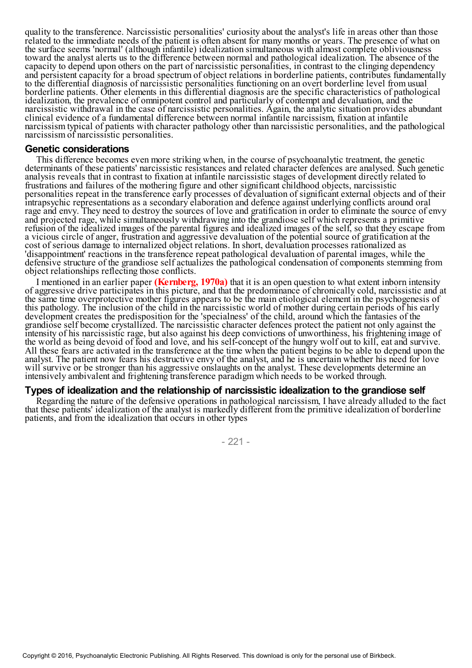quality to the transference. Narcissistic personalities' curiosity about the analyst's life in areas other than those related to the immediate needs of the patient is often absent for many months or years. The presence of what on the surface seems 'normal' (although infantile) idealization simultaneous with almost complete obliviousness toward the analyst alerts us to the difference between normal and pathological idealization. The absence of the capacity to depend upon others on the part of narcissistic personalities, in contrast to the clinging dependency and persistent capacity for a broad spectrum of object relations in borderline patients, contributes fundamentally to the differential diagnosis of narcissistic personalities functioning on an overt borderline level fromusual borderline patients. Other elements in this differential diagnosis are the specific characteristics of pathological idealization, the prevalence of omnipotent control and particularly of contempt and devaluation, and the narcissistic withdrawal in the case of narcissistic personalities. Again, the analytic situation provides abundant clinical evidence of a fundamental difference between normal infantile narcissism, fixation at infantile narcissismtypical of patients with character pathology other than narcissistic personalities, and the pathological narcissismof narcissistic personalities.

### **Genetic considerations**

This difference becomes even more striking when, in the course of psychoanalytic treatment, the genetic determinants of these patients' narcissistic resistances and related character defences are analysed. Such genetic analysis reveals that in contrast to fixation at infantile narcissistic stages of development directly related to frustrations and failures of the mothering figure and other significant childhood objects, narcissistic personalities repeat in the transference early processes of devaluation of significant external objects and of their intrapsychic representations as a secondary elaboration and defence against underlying conflicts around oral rage and envy. They need to destroy the sources of love and gratification in order to eliminate the source of envy and projected rage, while simultaneously withdrawing into the grandiose self which represents a primitive refusion of the idealized images of the parental figures and idealized images of the self, so that they escape from a vicious circle of anger, frustration and aggressive devaluation of the potential source of gratification at the cost of serious damage to internalized object relations. In short, devaluation processes rationalized as 'disappointment' reactions in the transference repeat pathological devaluation of parental images, while the defensive structure of the grandiose self actualizes the pathological condensation of components stemming from object relationships reflecting those conflicts.

I mentioned in an earlier paper **(Kernberg, 1970a)** that it is an open question to what extent inborn intensity of aggressive drive participates in this picture, and that the predominance of chronically cold, narcissistic and at the same time overprotective mother figures appears to be the main etiological element in the psychogenesis of this pathology. The inclusion of the child in the narcissistic world of mother during certain periods of his early development creates the predisposition for the 'specialness' of the child, around which the fantasies of the grandiose self become crystallized. The narcissistic character defences protect the patient not only against the intensity of his narcissistic rage, but also against his deep convictions of unworthiness, his frightening image of the world as being devoid of food and love, and his self-concept of the hungry wolf out to kill, eat and survive. All these fears are activated in the transference at the time when the patient begins to be able to depend upon the analyst. The patient now fears his destructive envy of the analyst, and he is uncertain whether his need for love will survive or be stronger than his aggressive onslaughts on the analyst. These developments determine an intensively ambivalent and frightening transference paradigmwhich needs to be worked through.

#### **Types of idealization and the relationship of narcissistic idealization to the grandiose self**

Regarding the nature of the defensive operations in pathological narcissism, I have already alluded to the fact that these patients' idealization of the analyst is markedly different fromthe primitive idealization of borderline patients, and fromthe idealization that occurs in other types

- 221 -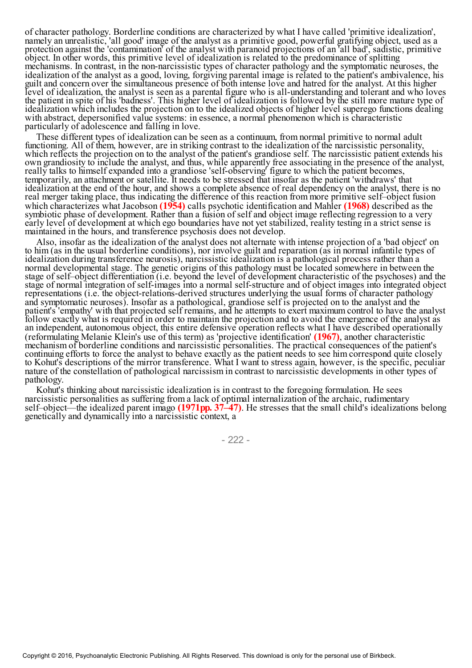of character pathology. Borderline conditions are characterized by what I have called 'primitive idealization', namely an unrealistic, 'all good' image of the analyst as a primitive good, powerful gratifying object, used as a protection against the 'contamination' of the analyst with paranoid projections of an 'all bad', sadistic, primitive object. In other words, this primitive level of idealization is related to the predominance of splitting mechanisms. In contrast, in the non-narcissistic types of character pathology and the symptomatic neuroses, the idealization of the analyst as a good, loving, forgiving parental image is related to the patient's ambivalence, his guilt and concern over the simultaneous presence of both intense love and hatred for the analyst. At this higher level of idealization, the analyst is seen as a parental figure who is all-understanding and tolerant and who loves the patient in spite of his 'badness'. This higher level of idealization is followed by the still more mature type of idealization which includes the projection on to the idealized objects of higher level superego functions dealing with abstract, depersonified value systems: in essence, a normal phenomenon which is characteristic particularly of adolescence and falling in love.

These different types of idealization can be seen as a continuum, fromnormal primitive to normal adult functioning. All of them, however, are in striking contrast to the idealization of the narcissistic personality, which reflects the projection on to the analyst of the patient's grandiose self. The narcissistic patient extends his own grandiosity to include the analyst, and thus, while apparently free associating in the presence of the analyst, really talks to himself expanded into a grandiose 'self-observing' figure to which the patient becomes, temporarily, an attachment or satellite. It needs to be stressed that insofar as the patient 'withdraws' that idealization at the end of the hour, and shows a complete absence of real dependency on the analyst, there is no real merger taking place, thus indicating the difference of this reaction frommore primitive self–object fusion which characterizes what Jacobson **(1954)** calls psychotic identification and Mahler **(1968)** described as the symbiotic phase of development. Rather than a fusion of self and object image reflecting regression to a very early level of development at which ego boundaries have not yet stabilized, reality testing in a strict sense is maintained in the hours, and transference psychosis does not develop.

Also, insofar as the idealization of the analyst does not alternate with intense projection of a 'bad object' on to him(as in the usual borderline conditions), nor involve guilt and reparation (as in normal infantile types of idealization during transference neurosis), narcissistic idealization is a pathological process rather than a normal developmental stage. The genetic origins of this pathology must be located somewhere in between the stage of self–object differentiation (i.e. beyond the level of development characteristic of the psychoses) and the stage of normal integration of self-images into a normal self-structure and of object images into integrated object representations (i.e. the object-relations-derived structures underlying the usual forms of character pathology and symptomatic neuroses). Insofar as a pathological, grandiose self is projected on to the analyst and the patient's 'empathy' with that projected self remains, and he attempts to exert maximumcontrol to have the analyst follow exactly what is required in order to maintain the projection and to avoid the emergence of the analyst as an independent, autonomous object, this entire defensive operation reflects what I have described operationally (reformulating Melanie Klein's use of this term) as 'projective identification' **(1967)**, another characteristic mechanismof borderline conditions and narcissistic personalities. The practical consequences of the patient's continuing efforts to force the analyst to behave exactly as the patient needs to see himcorrespond quite closely to Kohut's descriptions of the mirror transference. What I want to stress again, however, is the specific, peculiar nature of the constellation of pathological narcissismin contrast to narcissistic developments in other types of pathology.

Kohut's thinking about narcissistic idealization is in contrast to the foregoing formulation. He sees narcissistic personalities as suffering froma lack of optimal internalization of the archaic, rudimentary self–object—the idealized parent imago **(1971pp. [37–47\)](http://www.pep-web.org/document.php?id=zbk.049.0001a#p0037)**. He stresses that the small child's idealizations belong genetically and dynamically into a narcissistic context, a

- 222 -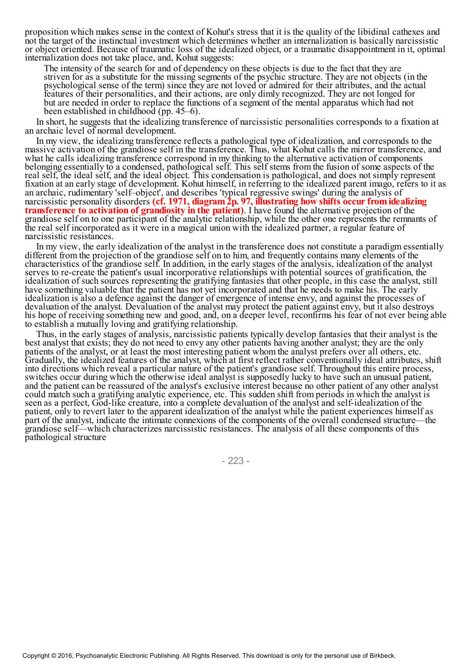proposition which makes sense in the context of Kohut's stress that it is the quality of the libidinal cathexes and not the target of the instinctual investment which determines whether an internalization is basically narcissistic or object oriented. Because of traumatic loss of the idealized object, or a traumatic disappointment in it, optimal internalization does not take place, and, Kohut suggests:

The intensity of the search for and of dependency on these objects is due to the fact that they are striven for as a substitute for the missing segments of the psychic structure. They are not objects (in the psychological sense of the term) since they are not loved or admired for their attributes, and the actual features of their personalities, and their actions, are only dimly recognized. They are not longed for but are needed in order to replace the functions of a segment of the mental apparatus which had not been established in childhood (pp. 45–6).

In short, he suggests that the idealizing transference of narcissistic personalities corresponds to a fixation at an archaic level of normal development.

In my view, the idealizing transference reflects a pathological type of idealization, and corresponds to the massive activation of the grandiose self in the transference. Thus, what Kohut calls the mirror transference, and what he calls idealizing transference correspond in my thinking to the alternative activation of components belonging essentially to a condensed, pathological self. This self stems fromthe fusion of some aspects of the real self, the ideal self, and the ideal object. This condensation is pathological, and does not simply represent fixation at an early stage of development. Kohut himself, in referring to the idealized parent imago, refers to it as an archaic, rudimentary 'self–object', and describes 'typical regressive swings' during the analysis of narcissistic personality disorders (cf. 1971, diagram 2p. 97, illustrating how shifts occur from idealizing **transference to activation of grandiosity in the patient)**. I have found the alternative projection of the grandiose self on to one participant of the analytic relationship, while the other one represents the remnants of the real self incorporated as it were in a magical union with the idealized partner, a regular feature of narcissistic resistances.

In my view, the early idealization of the analyst in the transference does not constitute a paradigmessentially different fromthe projection of the grandiose self on to him, and frequently contains many elements of the characteristics of the grandiose self. In addition, in the early stages of the analysis, idealization of the analyst serves to re-create the patient's usual incorporative relationships with potential sources of gratification, the idealization of such sources representing the gratifying fantasies that other people, in this case the analyst, still have something valuable that the patient has not yet incorporated and that he needs to make his. The early idealization is also a defence against the danger of emergence of intense envy, and against the processes of devaluation of the analyst. Devaluation of the analyst may protect the patient against envy, but it also destroys his hope of receiving something new and good, and, on a deeper level, reconfirms his fear of not ever being able to establish a mutually loving and gratifying relationship.

Thus, in the early stages of analysis, narcissistic patients typically develop fantasies that their analyst is the best analyst that exists; they do not need to envy any other patients having another analyst; they are the only patients of the analyst, or at least the most interesting patient whomthe analyst prefers over all others, etc. Gradually, the idealized features of the analyst, which at first reflect rather conventionally ideal attributes, shift into directions which reveal a particular nature of the patient's grandiose self. Throughout this entire process, switches occur during which the otherwise ideal analyst is supposedly lucky to have such an unusual patient, and the patient can be reassured of the analyst's exclusive interest because no other patient of any other analyst could match such a gratifying analytic experience, etc. This sudden shift fromperiods in which the analyst is seen as a perfect, God-like creature, into a complete devaluation of the analyst and self-idealization of the patient, only to revert later to the apparent idealization of the analyst while the patient experiences himself as part of the analyst, indicate the intimate connexions of the components of the overall condensed structure—the grandiose self—which characterizes narcissistic resistances. The analysis of all these components of this pathological structure

- 223 -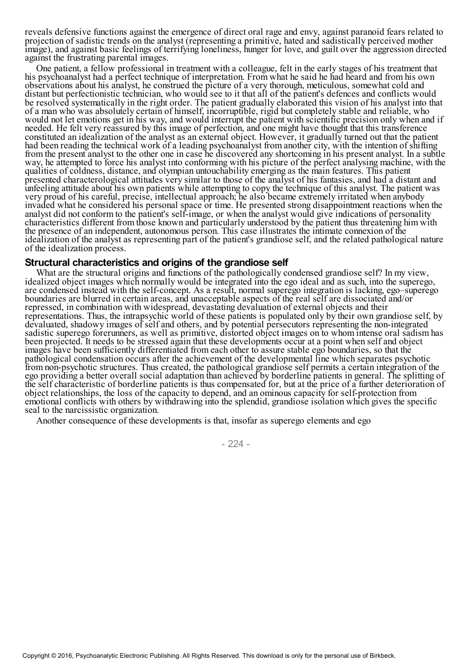reveals defensive functions against the emergence of direct oral rage and envy, against paranoid fears related to projection of sadistic trends on the analyst (representing a primitive, hated and sadistically perceived mother image), and against basic feelings of terrifying loneliness, hunger for love, and guilt over the aggression directed against the frustrating parental images.

One patient, a fellow professional in treatment with a colleague, felt in the early stages of his treatment that his psychoanalyst had a perfect technique of interpretation. Fromwhat he said he had heard and fromhis own observations about his analyst, he construed the picture of a very thorough, meticulous, somewhat cold and distant but perfectionistic technician, who would see to it that all of the patient's defences and conflicts would be resolved systematically in the right order. The patient gradually elaborated this vision of his analyst into that of a man who was absolutely certain of himself, incorruptible, rigid but completely stable and reliable, who would not let emotions get in his way, and would interrupt the patient with scientific precision only when and if needed. He felt very reassured by this image of perfection, and one might have thought that this transference constituted an idealization of the analyst as an external object. However, it gradually turned out that the patient had been reading the technical work of a leading psychoanalyst fromanother city, with the intention of shifting fromthe present analyst to the other one in case he discovered any shortcoming in his present analyst. In a subtle way, he attempted to force his analyst into conforming with his picture of the perfect analysing machine, with the qualities of coldness, distance, and olympian untouchability emerging as the main features. This patient presented characterological attitudes very similar to those of the analyst of his fantasies, and had a distant and unfeeling attitude about his own patients while attempting to copy the technique of this analyst. The patient was very proud of his careful, precise, intellectual approach; he also became extremely irritated when anybody invaded what he considered his personal space or time. He presented strong disappointment reactions when the analyst did not conformto the patient's self-image, or when the analyst would give indications of personality characteristics different fromthose known and particularly understood by the patient thus threatening himwith the presence of an independent, autonomous person. This case illustrates the intimate connexion of the idealization of the analyst as representing part of the patient's grandiose self, and the related pathological nature of the idealization process.

#### **Structural characteristics and origins of the grandiose self**

What are the structural origins and functions of the pathologically condensed grandiose self? In my view, idealized object images which normally would be integrated into the ego ideal and as such, into the superego, are condensed instead with the self-concept. As a result, normal superego integration is lacking, ego–superego boundaries are blurred in certain areas, and unacceptable aspects of the real self are dissociated and/or repressed, in combination with widespread, devastating devaluation of external objects and their representations. Thus, the intrapsychic world of these patients is populated only by their own grandiose self, by devaluated, shadowy images of self and others, and by potential persecutors representing the non-integrated sadistic superego forerunners, as well as primitive, distorted object images on to whomintense oral sadismhas been projected. It needs to be stressed again that these developments occur at a point when self and object images have been sufficiently differentiated fromeach other to assure stable ego boundaries, so that the pathological condensation occurs after the achievement of the developmental line which separates psychotic fromnon-psychotic structures. Thus created, the pathological grandiose self permits a certain integration of the ego providing a better overall social adaptation than achieved by borderline patients in general. The splitting of the self characteristic of borderline patients is thus compensated for, but at the price of a further deterioration of object relationships, the loss of the capacity to depend, and an ominous capacity for self-protection from emotional conflicts with others by withdrawing into the splendid, grandiose isolation which gives the specific seal to the narcissistic organization.

Another consequence of these developments is that, insofar as superego elements and ego

- 224 -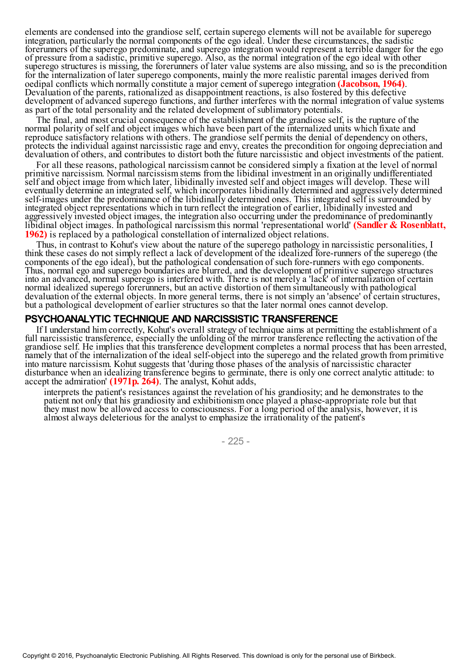elements are condensed into the grandiose self, certain superego elements will not be available for superego integration, particularly the normal components of the ego ideal. Under these circumstances, the sadistic forerunners of the superego predominate, and superego integration would represent a terrible danger for the ego of pressure froma sadistic, primitive superego. Also, as the normal integration of the ego ideal with other superego structures is missing, the forerunners of later value systems are also missing, and so is the precondition for the internalization of later superego components, mainly the more realistic parental images derived from oedipal conflicts which normally constitute a major cement of superego integration **(Jacobson, 1964)**. Devaluation of the parents, rationalized as disappointment reactions, is also fostered by this defective development of advanced superego functions, and further interferes with the normal integration of value systems as part of the total personality and the related development of sublimatory potentials.

The final, and most crucial consequence of the establishment of the grandiose self, is the rupture of the normal polarity of self and object images which have been part of the internalized units which fixate and reproduce satisfactory relations with others. The grandiose self permits the denial of dependency on others, protects the individual against narcissistic rage and envy, creates the precondition for ongoing depreciation and devaluation of others, and contributes to distort both the future narcissistic and object investments of the patient.

For all these reasons, pathological narcissismcannot be considered simply a fixation at the level of normal primitive narcissism. Normal narcissismstems fromthe libidinal investment in an originally undifferentiated self and object image fromwhich later, libidinally invested self and object images will develop. These will eventually determine an integrated self, which incorporates libidinally determined and aggressively determined self-images under the predominance of the libidinally determined ones. This integrated self is surrounded by integrated object representations which in turn reflect the integration of earlier, libidinally invested and aggressively invested object images, the integration also occurring under the predominance of predominantly libidinal object images. In pathological narcissismthis normal 'representational world' **(Sandler & Rosenblatt, 1962)** is replaced by a pathological constellation of internalized object relations.

Thus, in contrast to Kohut's view about the nature of the superego pathology in narcissistic personalities, I think these cases do not simply reflect a lack of development of the idealized fore-runners of the superego (the components of the ego ideal), but the pathological condensation of such fore-runners with ego components. Thus, normal ego and superego boundaries are blurred, and the development of primitive superego structures into an advanced, normal superego is interfered with. There is not merely a 'lack' of internalization of certain normal idealized superego forerunners, but an active distortion of themsimultaneously with pathological devaluation of the external objects. In more general terms, there is not simply an 'absence' of certain structures, but a pathological development of earlier structures so that the later normal ones cannot develop.

## **PSYCHOANALYTIC TECHNIQUE AND NARCISSISTIC TRANSFERENCE**

If I understand himcorrectly, Kohut's overall strategy of technique aims at permitting the establishment of a full narcissistic transference, especially the unfolding of the mirror transference reflecting the activation of the grandiose self. He implies that this transference development completes a normal process that has been arrested, namely that of the internalization of the ideal self-object into the superego and the related growth fromprimitive into mature narcissism. Kohut suggests that 'during those phases of the analysis of narcissistic character disturbance when an idealizing transference begins to germinate, there is only one correct analytic attitude: to accept the admiration' **(1971p. [264\)](http://www.pep-web.org/document.php?id=zbk.049.0001a#p0264)**. The analyst, Kohut adds,

interprets the patient's resistances against the revelation of his grandiosity; and he demonstrates to the patient not only that his grandiosity and exhibitionismonce played a phase-appropriate role but that they must now be allowed access to consciousness. For a long period of the analysis, however, it is almost always deleterious for the analyst to emphasize the irrationality of the patient's

- 225 -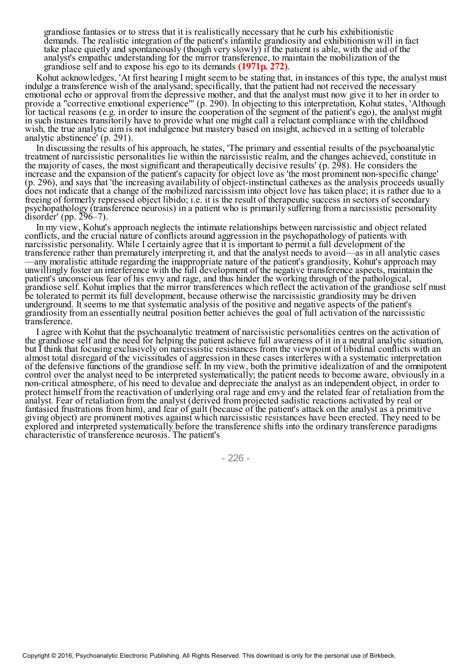grandiose fantasies or to stress that it is realistically necessary that he curb his exhibitionistic demands. The realistic integration of the patient's infantile grandiosity and exhibitionismwill in fact take place quietly and spontaneously (though very slowly) if the patient is able, with the aid of the analyst's empathic understanding for the mirror transference, to maintain the mobilization of the grandiose self and to expose his ego to its demands **(1971p. [272\)](http://www.pep-web.org/document.php?id=zbk.049.0001a#p0272)**.

Kohut acknowledges, 'At first hearing I might seemto be stating that, in instances of this type, the analyst must indulge a transference wish of the analysand; specifically, that the patient had not received the necessary emotional echo or approval fromthe depressive mother, and that the analyst must now give it to her in order to provide a "corrective emotional experience"' (p. 290). In objecting to this interpretation, Kohut states, 'Although for tactical reasons (e.g. in order to insure the cooperation of the segment of the patient's ego), the analyst might in such instances transitorily have to provide what one might call a reluctant compliance with the childhood wish, the true analytic aim is not indulgence but mastery based on insight, achieved in a setting of tolerable analytic abstinence' (p. 291).

In discussing the results of his approach, he states, 'The primary and essential results of the psychoanalytic treatment of narcissistic personalities lie within the narcissistic realm, and the changes achieved, constitute in the majority of cases, the most significant and therapeutically decisive results' (p. 298). He considers the increase and the expansion of the patient's capacity for object love as 'the most prominent non-specific change' (p. 296), and says that 'the increasing availability of object-instinctual cathexes as the analysis proceeds usually does not indicate that a change of the mobilized narcissisminto object love has taken place; it is rather due to a freeing of formerly repressed object libido; i.e. it is the result of therapeutic success in sectors of secondary psychopathology (transference neurosis) in a patient who is primarily suffering froma narcissistic personality disorder' (pp. 296-7).

In my view, Kohut's approach neglects the intimate relationships between narcissistic and object related conflicts, and the crucial nature of conflicts around aggression in the psychopathology of patients with narcissistic personality. While I certainly agree that it is important to permit a full development of the transference rather than prematurely interpreting it, and that the analyst needs to avoid—as in all analytic cases<br>—any moralistic attitude regarding the inappropriate nature of the patient's grandiosity, Kohut's approach —any moralistic attitude regarding the inappropriate nature of the patient's grandiosity, Kohut's approach may<br>unwillingly foster an interference with the full development of the negative transference aspects, maintain the patient's unconscious fear of his envy and rage, and thus hinder the working through of the pathological, grandiose self. Kohut implies that the mirror transferences which reflect the activation of the grandiose self must be tolerated to permit its full development, because otherwise the narcissistic grandiosity may be driven underground. It seems to me that systematic analysis of the positive and negative aspects of the patient's grandiosity froman essentially neutral position better achieves the goal of full activation of the narcissistic transference.

I agree with Kohut that the psychoanalytic treatment of narcissistic personalities centres on the activation of the grandiose self and the need for helping the patient achieve full awareness of it in a neutral analytic situation, but I think that focusing exclusively on narcissistic resistances fromthe viewpoint of libidinal conflicts with an almost total disregard of the vicissitudes of aggression in these cases interferes with a systematic interpretation of the defensive functions of the grandiose self. In my view, both the primitive idealization of and the omnipotent control over the analyst need to be interpreted systematically; the patient needs to become aware, obviously in a non-critical atmosphere, of his need to devalue and depreciate the analyst as an independent object, in order to protect himself fromthe reactivation of underlying oral rage and envy and the related fear of retaliation fromthe analyst. Fear of retaliation fromthe analyst (derived fromprojected sadistic reactions activated by real or fantasied frustrations fromhim), and fear of guilt (because of the patient's attack on the analyst as a primitive giving object) are prominent motives against which narcissistic resistances have been erected. They need to be explored and interpreted systematically before the transference shifts into the ordinary transference paradigms characteristic of transference neurosis. The patient's

- 226 -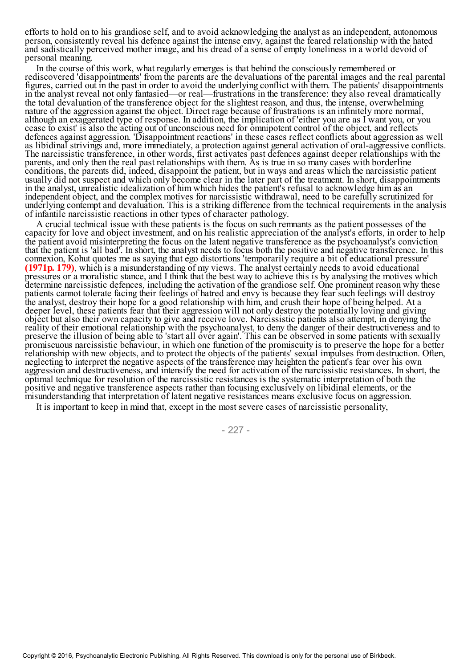efforts to hold on to his grandiose self, and to avoid acknowledging the analyst as an independent, autonomous person, consistently reveal his defence against the intense envy, against the feared relationship with the hated and sadistically perceived mother image, and his dread of a sense of empty loneliness in a world devoid of personal meaning.

In the course of this work, what regularly emerges is that behind the consciously remembered or rediscovered 'disappointments' fromthe parents are the devaluations of the parental images and the real parental figures, carried out in the past in order to avoid the underlying conflict with them. The patients' disappointments in the analyst reveal not only fantasied—or real—frustrations in the transference: they also reveal dramatically the total devaluation of the transference object for the slightest reason, and thus, the intense, overwhelming nature of the aggression against the object. Direct rage because of frustrations is an infinitely more normal, although an exaggerated type of response. In addition, the implication of 'either you are as I want you, or you cease to exist' is also the acting out of unconscious need for omnipotent control of the object, and reflects defences against aggression. 'Disappointment reactions' in these cases reflect conflicts about aggression as well as libidinal strivings and, more immediately, a protection against general activation of oral-aggressive conflicts. The narcissistic transference, in other words, first activates past defences against deeper relationships with the parents, and only then the real past relationships with them. As is true in so many cases with borderline conditions, the parents did, indeed, disappoint the patient, but in ways and areas which the narcissistic patient usually did not suspect and which only become clear in the later part of the treatment. In short, disappointments in the analyst, unrealistic idealization of himwhich hides the patient's refusal to acknowledge himas an independent object, and the complex motives for narcissistic withdrawal, need to be carefully scrutinized for underlying contempt and devaluation. This is a striking difference fromthe technical requirements in the analysis of infantile narcissistic reactions in other types of character pathology.

A crucial technical issue with these patients is the focus on such remnants as the patient possesses of the capacity for love and object investment, and on his realistic appreciation of the analyst's efforts, in order to help the patient avoid misinterpreting the focus on the latent negative transference as the psychoanalyst's conviction that the patient is 'all bad'. In short, the analyst needs to focus both the positive and negative transference. In this connexion, Kohut quotes me as saying that ego distortions 'temporarily require a bit of educational pressure' **(1971p. [179\)](http://www.pep-web.org/document.php?id=zbk.049.0001a#p0179)**, which is a misunderstanding of my views. The analyst certainly needs to avoid educational pressures or a moralistic stance, and I think that the best way to achieve this is by analysing the motives which determine narcissistic defences, including the activation of the grandiose self. One prominent reason why these patients cannot tolerate facing their feelings of hatred and envy is because they fear such feelings will destroy the analyst, destroy their hope for a good relationship with him, and crush their hope of being helped. At a deeper level, these patients fear that their aggression will not only destroy the potentially loving and giving object but also their own capacity to give and receive love. Narcissistic patients also attempt, in denying the reality of their emotional relationship with the psychoanalyst, to deny the danger of their destructiveness and to preserve the illusion of being able to 'start all over again'. This can be observed in some patients with sexually promiscuous narcissistic behaviour, in which one function of the promiscuity is to preserve the hope for a better relationship with new objects, and to protect the objects of the patients' sexual impulses fromdestruction. Often, neglecting to interpret the negative aspects of the transference may heighten the patient's fear over his own aggression and destructiveness, and intensify the need for activation of the narcissistic resistances. In short, the optimal technique for resolution of the narcissistic resistances is the systematic interpretation of both the positive and negative transference aspects rather than focusing exclusively on libidinal elements, or the misunderstanding that interpretation of latent negative resistances means exclusive focus on aggression.

It is important to keep in mind that, except in the most severe cases of narcissistic personality,

- 227 -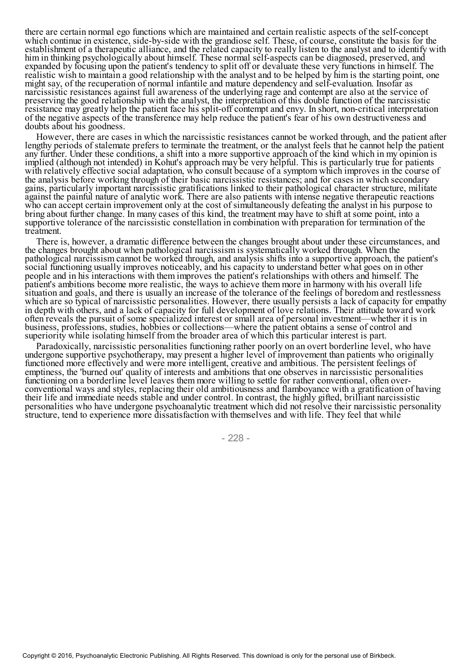there are certain normal ego functions which are maintained and certain realistic aspects of the self-concept which continue in existence, side-by-side with the grandiose self. These, of course, constitute the basis for the establishment of a therapeutic alliance, and the related capacity to really listen to the analyst and to identify with him in thinking psychologically about himself. These normal self-aspects can be diagnosed, preserved, and expanded by focusing upon the patient's tendency to split off or devaluate these very functions in himself. The realistic wish to maintain a good relationship with the analyst and to be helped by himis the starting point, one might say, of the recuperation of normal infantile and mature dependency and self-evaluation. Insofar as narcissistic resistances against full awareness of the underlying rage and contempt are also at the service of preserving the good relationship with the analyst, the interpretation of this double function of the narcissistic resistance may greatly help the patient face his split-off contempt and envy. In short, non-critical interpretation of the negative aspects of the transference may help reduce the patient's fear of his own destructiveness and doubts about his goodness.

However, there are cases in which the narcissistic resistances cannot be worked through, and the patient after lengthy periods of stalemate prefers to terminate the treatment, or the analyst feels that he cannot help the patient any further. Under these conditions, a shift into a more supportive approach of the kind which in my opinion is implied (although not intended) in Kohut's approach may be very helpful. This is particularly true for patients with relatively effective social adaptation, who consult because of a symptom which improves in the course of the analysis before working through of their basic narcissistic resistances; and for cases in which secondary gains, particularly important narcissistic gratifications linked to their pathological character structure, militate against the painful nature of analytic work. There are also patients with intense negative therapeutic reactions who can accept certain improvement only at the cost of simultaneously defeating the analyst in his purpose to bring about further change. In many cases of this kind, the treatment may have to shift at some point, into a supportive tolerance of the narcissistic constellation in combination with preparation for termination of the treatment.

There is, however, a dramatic difference between the changes brought about under these circumstances, and the changes brought about when pathological narcissismis systematically worked through. When the pathological narcissismcannot be worked through, and analysis shifts into a supportive approach, the patient's social functioning usually improves noticeably, and his capacity to understand better what goes on in other people and in his interactions with themimproves the patient's relationships with others and himself. The patient's ambitions become more realistic, the ways to achieve themmore in harmony with his overall life situation and goals, and there is usually an increase of the tolerance of the feelings of boredomand restlessness which are so typical of narcissistic personalities. However, there usually persists a lack of capacity for empathy in depth with others, and a lack of capacity for full development of love relations. Their attitude toward work often reveals the pursuit of some specialized interest or small area of personal investment—whether it is in business, professions, studies, hobbies or collections—where the patient obtains a sense of control and superiority while isolating himself from the broader area of which this particular interest is part.

Paradoxically, narcissistic personalities functioning rather poorly on an overt borderline level, who have undergone supportive psychotherapy, may present a higher level of improvement than patients who originally functioned more effectively and were more intelligent, creative and ambitious. The persistent feelings of emptiness, the 'burned out' quality of interests and ambitions that one observes in narcissistic personalities functioning on a borderline level leaves them more willing to settle for rather conventional, often overconventional ways and styles, replacing their old ambitiousness and flamboyance with a gratification of having their life and immediate needs stable and under control. In contrast, the highly gifted, brilliant narcissistic personalities who have undergone psychoanalytic treatment which did not resolve their narcissistic personality structure, tend to experience more dissatisfaction with themselves and with life. They feel that while

- 228 -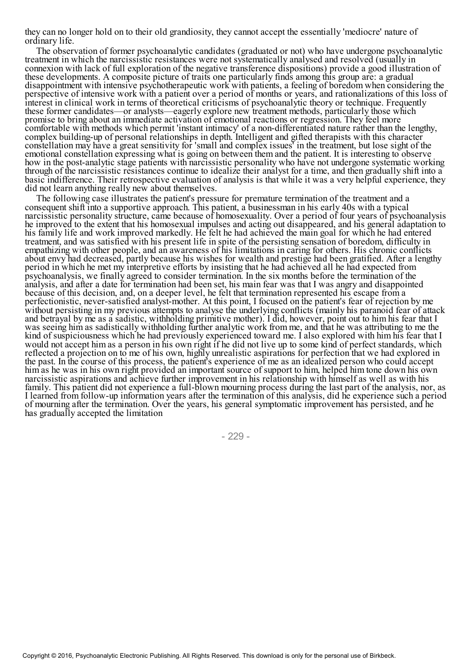they can no longer hold on to their old grandiosity, they cannot accept the essentially 'mediocre' nature of ordinary life.

The observation of former psychoanalytic candidates (graduated or not) who have undergone psychoanalytic treatment in which the narcissistic resistances were not systematically analysed and resolved (usually in connexion with lack of full exploration of the negative transference dispositions) provide a good illustration of these developments. A composite picture of traits one particularly finds among this group are: a gradual disappointment with intensive psychotherapeutic work with patients, a feeling of boredomwhen considering the perspective of intensive work with a patient over a period of months or years, and rationalizations of this loss of interest in clinical work in terms of theoretical criticisms of psychoanalytic theory or technique. Frequently these former candidates—or analysts—eagerly explore new treatment methods, particularly those which promise to bring about an immediate activation of emotional reactions or regression. They feel more comfortable with methods which permit 'instant intimacy' of a non-differentiated nature rather than the lengthy, complex building-up of personal relationships in depth. Intelligent and gifted therapists with this character constellation may have a great sensitivity for 'small and complex issues' in the treatment, but lose sight of the emotional constellation expressing what is going on between themand the patient. It is interesting to observe how in the post-analytic stage patients with narcissistic personality who have not undergone systematic working through of the narcissistic resistances continue to idealize their analyst for a time, and then gradually shift into a basic indifference. Their retrospective evaluation of analysis is that while it was a very helpful experience, they did not learn anything really new about themselves.

The following case illustrates the patient's pressure for premature termination of the treatment and a consequent shift into a supportive approach. This patient, a businessman in his early 40s with a typical narcissistic personality structure, came because of homosexuality. Over a period of four years of psychoanalysis he improved to the extent that his homosexual impulses and acting out disappeared, and his general adaptation to his family life and work improved markedly. He felt he had achieved the main goal for which he had entered treatment, and was satisfied with his present life in spite of the persisting sensation of boredom, difficulty in empathizing with other people, and an awareness of his limitations in caring for others. His chronic conflicts about envy had decreased, partly because his wishes for wealth and prestige had been gratified. After a lengthy period in which he met my interpretive efforts by insisting that he had achieved all he had expected from psychoanalysis, we finally agreed to consider termination. In the six months before the termination of the analysis, and after a date for termination had been set, his main fear was that I was angry and disappointed because of this decision, and, on a deeper level, he felt that termination represented his escape froma perfectionistic, never-satisfied analyst-mother. At this point, I focused on the patient's fear of rejection by me without persisting in my previous attempts to analyse the underlying conflicts (mainly his paranoid fear of attack and betrayal by me as a sadistic, withholding primitive mother). I did, however, point out to himhis fear that I was seeing himas sadistically withholding further analytic work fromme, and that he was attributing to me the kind of suspiciousness which he had previously experienced toward me. I also explored with himhis fear that I would not accept himas a person in his own right if he did not live up to some kind of perfect standards, which reflected a projection on to me of his own, highly unrealistic aspirations for perfection that we had explored in the past. In the course of this process, the patient's experience of me as an idealized person who could accept him as he was in his own right provided an important source of support to him, helped him tone down his own narcissistic aspirations and achieve further improvement in his relationship with himself as well as with his family. This patient did not experience a full-blown mourning process during the last part of the analysis, nor, as I learned fromfollow-up information years after the termination of this analysis, did he experience such a period of mourning after the termination. Over the years, his general symptomatic improvement has persisted, and he has gradually accepted the limitation

- 229 -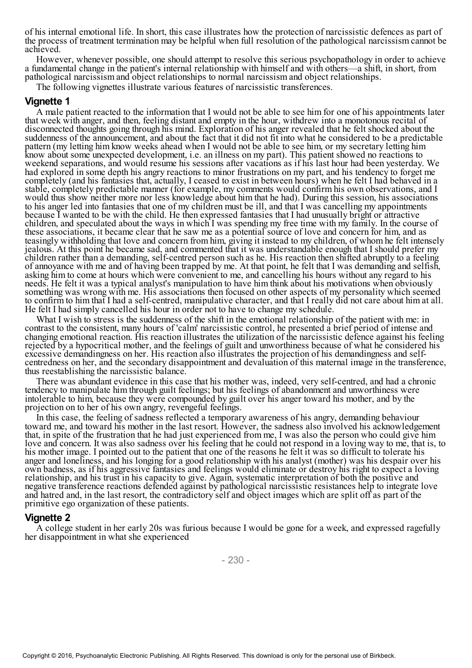of his internal emotional life. In short, this case illustrates how the protection of narcissistic defences as part of the process of treatment termination may be helpful when full resolution of the pathological narcissismcannot be achieved.

However, whenever possible, one should attempt to resolve this serious psychopathology in order to achieve a fundamental change in the patient's internal relationship with himself and with others—a shift, in short, from pathological narcissismand object relationships to normal narcissismand object relationships.

The following vignettes illustrate various features of narcissistic transferences.

## **Vignette 1**

A male patient reacted to the information that I would not be able to see him for one of his appointments later that week with anger, and then, feeling distant and empty in the hour, withdrew into a monotonous recital of disconnected thoughts going through his mind. Exploration of his anger revealed that he felt shocked about the suddenness of the announcement, and about the fact that it did not fit into what he considered to be a predictable pattern (my letting himknow weeks ahead when I would not be able to see him, or my secretary letting him know about some unexpected development, i.e. an illness on my part). This patient showed no reactions to weekend separations, and would resume his sessions after vacations as if his last hour had been yesterday. We had explored in some depth his angry reactions to minor frustrations on my part, and his tendency to forget me completely (and his fantasies that, actually, I ceased to exist in between hours) when he felt I had behaved in a stable, completely predictable manner (for example, my comments would confirmhis own observations, and I would thus show neither more nor less knowledge about himthat he had). During this session, his associations to his anger led into fantasies that one of my children must be ill, and that I was cancelling my appointments because I wanted to be with the child. He then expressed fantasies that I had unusually bright or attractive children, and speculated about the ways in which I was spending my free time with my family. In the course of these associations, it became clear that he saw me as a potential source of love and concern for him, and as teasingly withholding that love and concern fromhim, giving it instead to my children, of whomhe felt intensely jealous. At this point he became sad, and commented that it was understandable enough that I should prefer my children rather than a demanding, self-centred person such as he. His reaction then shifted abruptly to a feeling of annoyance with me and of having been trapped by me. At that point, he felt that I was demanding and selfish, asking himto come at hours which were convenient to me, and cancelling his hours without any regard to his needs. He felt it was a typical analyst's manipulation to have himthink about his motivations when obviously something was wrong with me. His associations then focused on other aspects of my personality which seemed to confirmto himthat I had a self-centred, manipulative character, and that I really did not care about himat all. He felt I had simply cancelled his hour in order not to have to change my schedule.

What I wish to stress is the suddenness of the shift in the emotional relationship of the patient with me: in contrast to the consistent, many hours of 'calm' narcissistic control, he presented a brief period of intense and changing emotional reaction. His reaction illustrates the utilization of the narcissistic defence against his feeling rejected by a hypocritical mother, and the feelings of guilt and unworthiness because of what he considered his excessive demandingness on her. His reaction also illustrates the projection of his demandingness and selfcentredness on her, and the secondary disappointment and devaluation of this maternal image in the transference, thus reestablishing the narcissistic balance.

There was abundant evidence in this case that his mother was, indeed, very self-centred, and had a chronic tendency to manipulate himthrough guilt feelings; but his feelings of abandonment and unworthiness were intolerable to him, because they were compounded by guilt over his anger toward his mother, and by the projection on to her of his own angry, revengeful feelings.

In this case, the feeling of sadness reflected a temporary awareness of his angry, demanding behaviour toward me, and toward his mother in the last resort. However, the sadness also involved his acknowledgement that, in spite of the frustration that he had just experienced fromme, I was also the person who could give him love and concern. It was also sadness over his feeling that he could not respond in a loving way to me, that is, to his mother image. I pointed out to the patient that one of the reasons he felt it was so difficult to tolerate his anger and loneliness, and his longing for a good relationship with his analyst (mother) was his despair over his own badness, as if his aggressive fantasies and feelings would eliminate or destroy his right to expect a loving relationship, and his trust in his capacity to give. Again, systematic interpretation of both the positive and negative transference reactions defended against by pathological narcissistic resistances help to integrate love and hatred and, in the last resort, the contradictory self and object images which are split off as part of the primitive ego organization of these patients.

## **Vignette 2**

A college student in her early 20s was furious because I would be gone for a week, and expressed ragefully her disappointment in what she experienced

- 230 -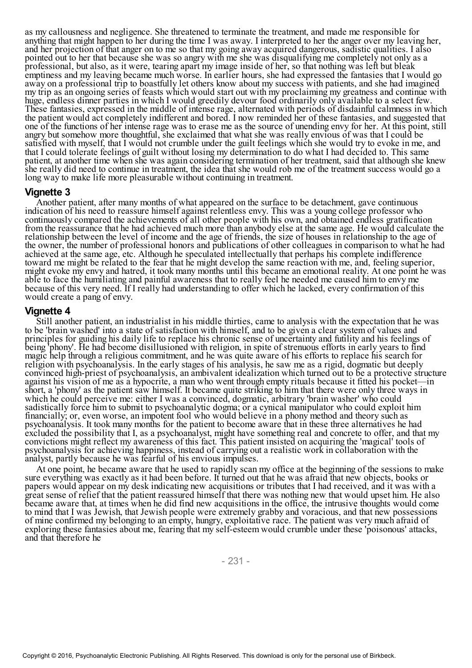as my callousness and negligence. She threatened to terminate the treatment, and made me responsible for anything that might happen to her during the time I was away. I interpreted to her the anger over my leaving her, and her projection of that anger on to me so that my going away acquired dangerous, sadistic qualities. I also pointed out to her that because she was so angry with me she was disqualifying me completely not only as a professional, but also, as it were, tearing apart my image inside of her, so that nothing was left but bleak emptiness and my leaving became much worse. In earlier hours, she had expressed the fantasies that I would go away on a professional trip to boastfully let others know about my success with patients, and she had imagined my trip as an ongoing series of feasts which would start out with my proclaiming my greatness and continue with huge, endless dinner parties in which I would greedily devour food ordinarily only available to a select few. These fantasies, expressed in the middle of intense rage, alternated with periods of disdainful calmness in which the patient would act completely indifferent and bored. I now reminded her of these fantasies, and suggested that one of the functions of her intense rage was to erase me as the source of unending envy for her. At this point, still angry but somehow more thoughtful, she exclaimed that what she was really envious of was that I could be satisfied with myself, that I would not crumble under the guilt feelings which she would try to evoke in me, and that I could tolerate feelings of guilt without losing my determination to do what I had decided to. This same patient, at another time when she was again considering termination of her treatment, said that although she knew she really did need to continue in treatment, the idea that she would rob me of the treatment success would go a long way to make life more pleasurable without continuing in treatment.

## **Vignette 3**

Another patient, after many months of what appeared on the surface to be detachment, gave continuous indication of his need to reassure himself against relentless envy. This was a young college professor who continuously compared the achievements of all other people with his own, and obtained endless gratification fromthe reassurance that he had achieved much more than anybody else at the same age. He would calculate the relationship between the level of income and the age of friends, the size of houses in relationship to the age of the owner, the number of professional honors and publications of other colleagues in comparison to what he had achieved at the same age, etc. Although he speculated intellectually that perhaps his complete indifference toward me might be related to the fear that he might develop the same reaction with me, and, feeling superior, might evoke my envy and hatred, it took many months until this became an emotional reality. At one point he was able to face the humiliating and painful awareness that to really feel he needed me caused himto envy me because of this very need. If I really had understanding to offer which he lacked, every confirmation of this would create a pang of envy.

## **Vignette 4**

Still another patient, an industrialist in his middle thirties, came to analysis with the expectation that he was to be 'brain washed' into a state of satisfaction with himself, and to be given a clear systemof values and principles for guiding his daily life to replace his chronic sense of uncertainty and futility and his feelings of being 'phony'. He had become disillusioned with religion, in spite of strenuous efforts in early years to find magic help through a religious commitment, and he was quite aware of his efforts to replace his search for religion with psychoanalysis. In the early stages of his analysis, he saw me as a rigid, dogmatic but deeply convinced high-priest of psychoanalysis, an ambivalent idealization which turned out to be a protective structure against his vision of me as a hypocrite, a man who went through empty rituals because it fitted his pocket—in short, a 'phony' as the patient saw himself. It became quite striking to himthat there were only three ways in which he could perceive me: either I was a convinced, dogmatic, arbitrary 'brain washer' who could sadistically force himto submit to psychoanalytic dogma; or a cynical manipulator who could exploit him financially; or, even worse, an impotent fool who would believe in a phony method and theory such as psychoanalysis. It took many months for the patient to become aware that in these three alternatives he had excluded the possibility that I, as a psychoanalyst, might have something real and concrete to offer, and that my convictions might reflect my awareness of this fact. This patient insisted on acquiring the 'magical' tools of psychoanalysis for achieving happiness, instead of carrying out a realistic work in collaboration with the analyst, partly because he was fearful of his envious impulses.

At one point, he became aware that he used to rapidly scan my office at the beginning of the sessions to make sure everything was exactly as it had been before. It turned out that he was afraid that new objects, books or papers would appear on my desk indicating new acquisitions or tributes that I had received, and it was with a great sense of relief that the patient reassured himself that there was nothing new that would upset him. He also became aware that, at times when he did find new acquisitions in the office, the intrusive thoughts would come to mind that I was Jewish, that Jewish people were extremely grabby and voracious, and that new possessions of mine confirmed my belonging to an empty, hungry, exploitative race. The patient was very much afraid of exploring these fantasies about me, fearing that my self-esteemwould crumble under these 'poisonous' attacks, and that therefore he

- 231 -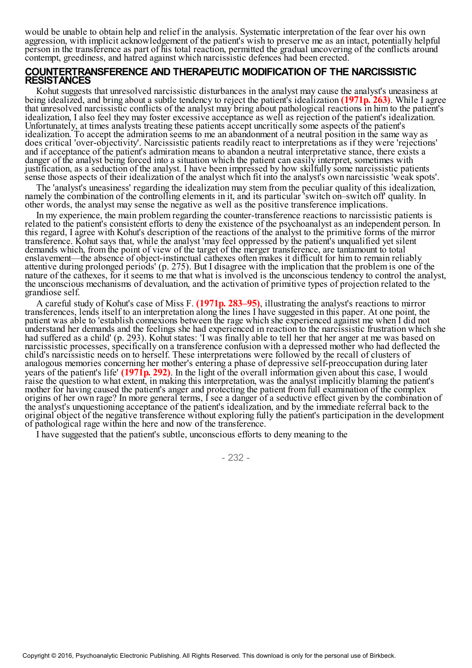would be unable to obtain help and relief in the analysis. Systematic interpretation of the fear over his own aggression, with implicit acknowledgement of the patient's wish to preserve me as an intact, potentially helpful person in the transference as part of his total reaction, permitted the gradual uncovering of the conflicts around contempt, greediness, and hatred against which narcissistic defences had been erected.

## **COUNTERTRANSFERENCE AND THERAPEUTIC MODIFICATION OF THE NARCISSISTIC RESISTANCES**

Kohut suggests that unresolved narcissistic disturbances in the analyst may cause the analyst's uneasiness at being idealized, and bring about a subtle tendency to reject the patient's idealization **(1971p. [263\)](http://www.pep-web.org/document.php?id=zbk.049.0001a#p0263)**. While I agree that unresolved narcissistic conflicts of the analyst may bring about pathological reactions in himto the patient's idealization, I also feel they may foster excessive acceptance as well as rejection of the patient's idealization. Unfortunately, at times analysts treating these patients accept uncritically some aspects of the patient's idealization. To accept the admiration seems to me an abandonment of a neutral position in the same way as does critical 'over-objectivity'. Narcissistic patients readily react to interpretations as if they were 'rejections' and if acceptance of the patient's admiration means to abandon a neutral interpretative stance, there exists a danger of the analyst being forced into a situation which the patient can easily interpret, sometimes with justification, as a seduction of the analyst. I have been impressed by how skilfully some narcissistic patients sense those aspects of their idealization of the analyst which fit into the analyst's own narcissistic 'weak spots'.

The 'analyst's uneasiness' regarding the idealization may stemfromthe peculiar quality of this idealization, namely the combination of the controlling elements in it, and its particular 'switch on–switch off' quality. In other words, the analyst may sense the negative as well as the positive transference implications.

In my experience, the main problemregarding the counter-transference reactions to narcissistic patients is related to the patient's consistent efforts to deny the existence of the psychoanalyst as an independent person. In this regard, I agree with Kohut's description of the reactions of the analyst to the primitive forms of the mirror transference. Kohut says that, while the analyst 'may feel oppressed by the patient's unqualified yet silent demands which, fromthe point of view of the target of the merger transference, are tantamount to total enslavement—the absence of object-instinctual cathexes often makes it difficult for himto remain reliably attentive during prolonged periods' (p. 275). But I disagree with the implication that the problemis one of the nature of the cathexes, for it seems to me that what is involved is the unconscious tendency to control the analyst, the unconscious mechanisms of devaluation, and the activation of primitive types of projection related to the grandiose self.

A careful study of Kohut's case of Miss F. **(1971p. [283–95\)](http://www.pep-web.org/document.php?id=zbk.049.0001a#p0283)**, illustrating the analyst's reactions to mirror transferences, lends itself to an interpretation along the lines I have suggested in this paper. At one point, the patient was able to 'establish connexions between the rage which she experienced against me when I did not understand her demands and the feelings she had experienced in reaction to the narcissistic frustration which she had suffered as a child' (p. 293). Kohut states: 'I was finally able to tell her that her anger at me was based on narcissistic processes, specifically on a transference confusion with a depressed mother who had deflected the child's narcissistic needs on to herself. These interpretations were followed by the recall of clusters of analogous memories concerning her mother's entering a phase of depressive self-preoccupation during later years of the patient's life' **(1971p. [292\)](http://www.pep-web.org/document.php?id=zbk.049.0001a#p0292)**. In the light of the overall information given about this case, I would raise the question to what extent, in making this interpretation, was the analyst implicitly blaming the patient's mother for having caused the patient's anger and protecting the patient fromfull examination of the complex origins of her own rage? In more general terms, I see a danger of a seductive effect given by the combination of the analyst's unquestioning acceptance of the patient's idealization, and by the immediate referral back to the original object of the negative transference without exploring fully the patient's participation in the development of pathological rage within the here and now of the transference.

I have suggested that the patient's subtle, unconscious efforts to deny meaning to the

- 232 -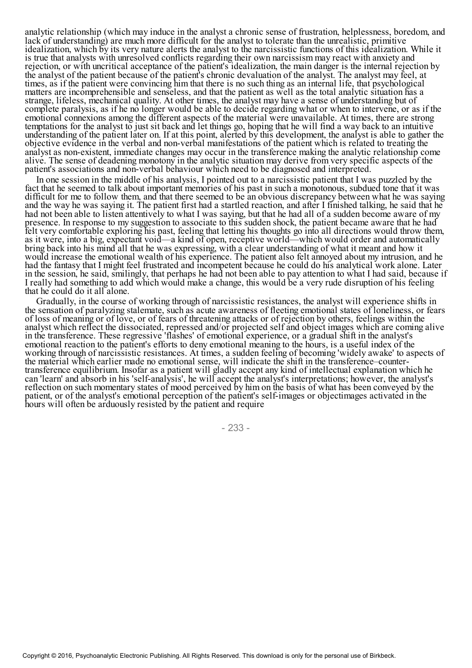analytic relationship (which may induce in the analyst a chronic sense of frustration, helplessness, boredom, and lack of understanding) are much more difficult for the analyst to tolerate than the unrealistic, primitive idealization, which by its very nature alerts the analyst to the narcissistic functions of this idealization. While it is true that analysts with unresolved conflicts regarding their own narcissismmay react with anxiety and rejection, or with uncritical acceptance of the patient's idealization, the main danger is the internal rejection by the analyst of the patient because of the patient's chronic devaluation of the analyst. The analyst may feel, at times, as if the patient were convincing himthat there is no such thing as an internal life, that psychological matters are incomprehensible and senseless, and that the patient as well as the total analytic situation has a strange, lifeless, mechanical quality. At other times, the analyst may have a sense of understanding but of complete paralysis, as if he no longer would be able to decide regarding what or when to intervene, or as if the emotional connexions among the different aspects of the material were unavailable. At times, there are strong temptations for the analyst to just sit back and let things go, hoping that he will find a way back to an intuitive understanding of the patient later on. If at this point, alerted by this development, the analyst is able to gather the objective evidence in the verbal and non-verbal manifestations of the patient which is related to treating the analyst as non-existent, immediate changes may occur in the transference making the analytic relationship come alive. The sense of deadening monotony in the analytic situation may derive fromvery specific aspects of the patient's associations and non-verbal behaviour which need to be diagnosed and interpreted.

In one session in the middle of his analysis, I pointed out to a narcissistic patient that I was puzzled by the fact that he seemed to talk about important memories of his past in such a monotonous, subdued tone that it was difficult for me to follow them, and that there seemed to be an obvious discrepancy between what he was saying and the way he was saying it. The patient first had a startled reaction, and after I finished talking, he said that he had not been able to listen attentively to what I was saying, but that he had all of a sudden become aware of my presence. In response to my suggestion to associate to this sudden shock, the patient became aware that he had felt very comfortable exploring his past, feeling that letting his thoughts go into all directions would throw them, as it were, into a big, expectant void—a kind of open, receptive world—which would order and automatically bring back into his mind all that he was expressing, with a clear understanding of what it meant and how it would increase the emotional wealth of his experience. The patient also felt annoyed about my intrusion, and he had the fantasy that I might feel frustrated and incompetent because he could do his analytical work alone. Later in the session, he said, smilingly, that perhaps he had not been able to pay attention to what I had said, because if I really had something to add which would make a change, this would be a very rude disruption of his feeling that he could do it all alone.

Gradually, in the course of working through of narcissistic resistances, the analyst will experience shifts in the sensation of paralyzing stalemate, such as acute awareness of fleeting emotional states of loneliness, or fears of loss of meaning or of love, or of fears of threatening attacks or of rejection by others, feelings within the analyst which reflect the dissociated, repressed and/or projected self and object images which are coming alive in the transference. These regressive 'flashes' of emotional experience, or a gradual shift in the analyst's emotional reaction to the patient's efforts to deny emotional meaning to the hours, is a useful index of the working through of narcissistic resistances. At times, a sudden feeling of becoming 'widely awake' to aspects of the material which earlier made no emotional sense, will indicate the shift in the transference–countertransference equilibrium. Insofar as a patient will gladly accept any kind of intellectual explanation which he can 'learn' and absorb in his 'self-analysis', he will accept the analyst's interpretations; however, the analyst's reflection on such momentary states of mood perceived by himon the basis of what has been conveyed by the patient, or of the analyst's emotional perception of the patient's self-images or objectimages activated in the hours will often be arduously resisted by the patient and require

- 233 -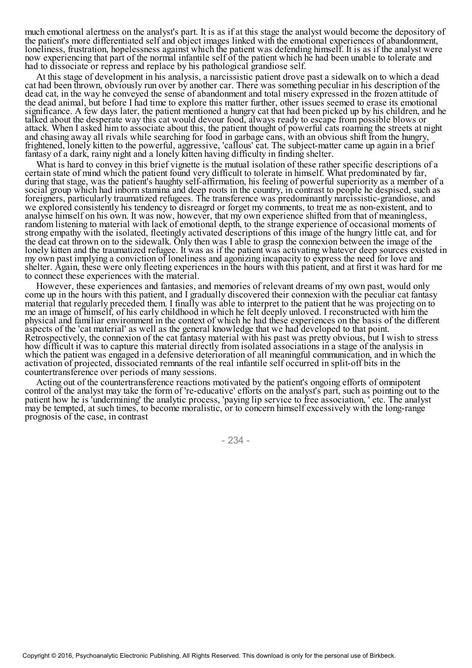much emotional alertness on the analyst's part. It is as if at this stage the analyst would become the depository of the patient's more differentiated self and object images linked with the emotional experiences of abandonment, loneliness, frustration, hopelessness against which the patient was defending himself. It is as if the analyst were now experiencing that part of the normal infantile self of the patient which he had been unable to tolerate and had to dissociate or repress and replace by his pathological grandiose self.

At this stage of development in his analysis, a narcissistic patient drove past a sidewalk on to which a dead cat had been thrown, obviously run over by another car. There was something peculiar in his description of the dead cat, in the way he conveyed the sense of abandonment and total misery expressed in the frozen attitude of the dead animal, but before I had time to explore this matter further, other issues seemed to erase its emotional significance. A few days later, the patient mentioned a hungry cat that had been picked up by his children, and he talked about the desperate way this cat would devour food, always ready to escape frompossible blows or attack. When I asked himto associate about this, the patient thought of powerful cats roaming the streets at night and chasing away all rivals while searching for food in garbage cans, with an obvious shift fromthe hungry, frightened, lonely kitten to the powerful, aggressive, 'callous' cat. The subject-matter came up again in a brief

fantasy of a dark, rainy night and a lonely kitten having difficulty in finding shelter.<br>What is hard to convey in this brief vignette is the mutual isolation of these rather specific descriptions of a certain state of mind which the patient found very difficult to tolerate in himself. What predominated by far, during that stage, was the patient's haughty self-affirmation, his feeling of powerful superiority as a member of a social group which had inborn stamina and deep roots in the country, in contrast to people he despised, such as foreigners, particularly traumatized refugees. The transference was predominantly narcissistic-grandiose, and we explored consistently his tendency to disreagrd or forget my comments, to treat me as non-existent, and to analyse himself on his own. It was now, however, that my own experience shifted fromthat of meaningless, random listening to material with lack of emotional depth, to the strange experience of occasional moments of strong empathy with the isolated, fleetingly activated descriptions of this image of the hungry little cat, and for the dead cat thrown on to the sidewalk. Only then was I able to grasp the connexion between the image of the lonely kitten and the traumatized refugee. It was as if the patient was activating whatever deep sources existed in my own past implying a conviction of loneliness and agonizing incapacity to express the need for love and shelter. Again, these were only fleeting experiences in the hours with this patient, and at first it was hard for me to connect these experiences with the material.

However, these experiences and fantasies, and memories of relevant dreams of my own past, would only come up in the hours with this patient, and I gradually discovered their connexion with the peculiar cat fantasy material that regularly preceded them. I finally was able to interpret to the patient that he was projecting on to me an image of himself, of his early childhood in which he felt deeply unloved. I reconstructed with himthe physical and familiar environment in the context of which he had these experiences on the basis of the different aspects of the 'cat material' as well as the general knowledge that we had developed to that point. Retrospectively, the connexion of the cat fantasy material with his past was pretty obvious, but I wish to stress how difficult it was to capture this material directly fromisolated associations in a stage of the analysis in which the patient was engaged in a defensive deterioration of all meaningful communication, and in which the activation of projected, dissociated remnants of the real infantile self occurred in split-off bits in the countertransference over periods of many sessions.

Acting out of the countertransference reactions motivated by the patient's ongoing efforts of omnipotent control of the analyst may take the formof 're-educative' efforts on the analyst's part, such as pointing out to the patient how he is 'undermining' the analytic process, 'paying lip service to free association, ' etc. The analyst may be tempted, at such times, to become moralistic, or to concern himself excessively with the long-range prognosis of the case, in contrast

- 234 -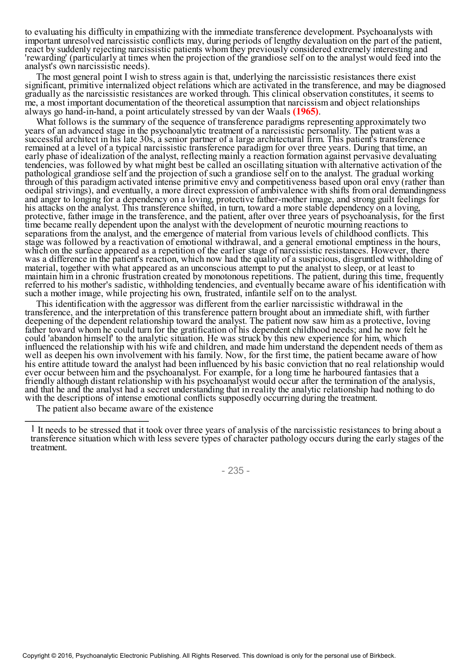to evaluating his difficulty in empathizing with the immediate transference development. Psychoanalysts with important unresolved narcissistic conflicts may, during periods of lengthy devaluation on the part of the patient, react by suddenly rejecting narcissistic patients whomthey previously considered extremely interesting and 'rewarding' (particularly at times when the projection of the grandiose self on to the analyst would feed into the analyst's own narcissistic needs).

The most general point I wish to stress again is that, underlying the narcissistic resistances there exist significant, primitive internalized object relations which are activated in the transference, and may be diagnosed gradually as the narcissistic resistances are worked through. This clinical observation constitutes, it seems to me, a most important documentation of the theoretical assumption that narcissism and object relationships always go hand-in-hand, a point articulately stressed by van der Waals (1965).

What follows is the summary of the sequence of transference paradigms representing approximately two years of an advanced stage in the psychoanalytic treatment of a narcissistic personality. The patient was a successful architect in his late 30s, a senior partner of a large architectural firm. This patient's transference remained at a level of a typical narcissistic transference paradigm for over three years. During that time, an early phase of idealization of the analyst, reflecting mainly a reaction formation against pervasive devaluating tendencies, was followed by what might best be called an oscillating situation with alternative activation of the pathological grandiose self and the projection of such a grandiose self on to the analyst. The gradual working through of this paradigmactivated intense primitive envy and competitiveness based upon oral envy (rather than oedipal strivings), and eventually, a more direct expression of ambivalence with shifts fromoral demandingness and anger to longing for a dependency on a loving, protective father-mother image, and strong guilt feelings for his attacks on the analyst. This transference shifted, in turn, toward a more stable dependency on a loving, protective, father image in the transference, and the patient, after over three years of psychoanalysis, for the first time became really dependent upon the analyst with the development of neurotic mourning reactions to separations fromthe analyst, and the emergence of material fromvarious levels of childhood conflicts. This stage was followed by a reactivation of emotional withdrawal, and a general emotional emptiness in the hours, which on the surface appeared as a repetition of the earlier stage of narcissistic resistances. However, there was a difference in the patient's reaction, which now had the quality of a suspicious, disgruntled withholding of material, together with what appeared as an unconscious attempt to put the analyst to sleep, or at least to maintain himin a chronic frustration created by monotonous repetitions. The patient, during this time, frequently referred to his mother's sadistic, withholding tendencies, and eventually became aware of his identification with such a mother image, while projecting his own, frustrated, infantile self on to the analyst.

This identification with the aggressor was different fromthe earlier narcissistic withdrawal in the transference, and the interpretation of this transference pattern brought about an immediate shift, with further deepening of the dependent relationship toward the analyst. The patient now saw himas a protective, loving father toward whomhe could turn for the gratification of his dependent childhood needs; and he now felt he could 'abandon himself' to the analytic situation. He was struck by this new experience for him, which influenced the relationship with his wife and children, and made himunderstand the dependent needs of themas well as deepen his own involvement with his family. Now, for the first time, the patient became aware of how his entire attitude toward the analyst had been influenced by his basic conviction that no real relationship would ever occur between himand the psychoanalyst. For example, for a long time he harboured fantasies that a friendly although distant relationship with his psychoanalyst would occur after the termination of the analysis, and that he and the analyst had a secret understanding that in reality the analytic relationship had nothing to do with the descriptions of intense emotional conflicts supposedly occurring during the treatment.

The patient also became aware of the existence

- 235 -

 $\overline{\phantom{a}}$ It needs to be stressed that it took over three years of analysis of the narcissistic resistances to bring about a 1 transference situation which with less severe types of character pathology occurs during the early stages of the treatment.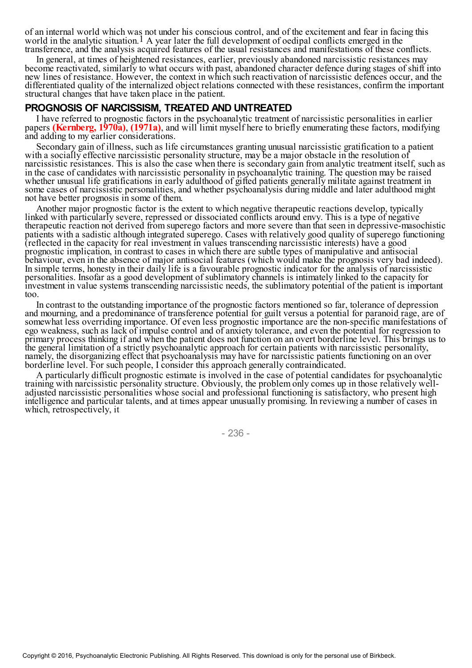of an internal world which was not under his conscious control, and of the excitement and fear in facing this world in the analytic situation.<sup>1</sup> A year later the full development of oedipal conflicts emerged in the transference, and the analysis acquired features of the usual resistances and manifestations of these conflicts.

In general, at times of heightened resistances, earlier, previously abandoned narcissistic resistances may become reactivated, similarly to what occurs with past, abandoned character defence during stages of shift into new lines of resistance. However, the context in which such reactivation of narcissistic defences occur, and the differentiated quality of the internalized object relations connected with these resistances, confirmthe important structural changes that have taken place in the patient.

## **PROGNOSIS OF NARCISSISM, TREATED AND UNTREATED**

I have referred to prognostic factors in the psychoanalytic treatment of narcissistic personalities in earlier papers **(Kernberg, 1970a)**, **(1971a)**, and will limit myself here to briefly enumerating these factors, modifying and adding to my earlier considerations.

Secondary gain of illness, such as life circumstances granting unusual narcissistic gratification to a patient with a socially effective narcissistic personality structure, may be a major obstacle in the resolution of narcissistic resistances. This is also the case when there is secondary gain fromanalytic treatment itself, such as in the case of candidates with narcissistic personality in psychoanalytic training. The question may be raised whether unusual life gratifications in early adulthood of gifted patients generally militate against treatment in some cases of narcissistic personalities, and whether psychoanalysis during middle and later adulthood might not have better prognosis in some of them.

Another major prognostic factor is the extent to which negative therapeutic reactions develop, typically linked with particularly severe, repressed or dissociated conflicts around envy. This is a type of negative therapeutic reaction not derived fromsuperego factors and more severe than that seen in depressive-masochistic patients with a sadistic although integrated superego. Cases with relatively good quality of superego functioning (reflected in the capacity for real investment in values transcending narcissistic interests) have a good prognostic implication, in contrast to cases in which there are subtle types of manipulative and antisocial behaviour, even in the absence of major antisocial features (which would make the prognosis very bad indeed). In simple terms, honesty in their daily life is a favourable prognostic indicator for the analysis of narcissistic personalities. Insofar as a good development of sublimatory channels is intimately linked to the capacity for investment in value systems transcending narcissistic needs, the sublimatory potential of the patient is important too.

In contrast to the outstanding importance of the prognostic factors mentioned so far, tolerance of depression and mourning, and a predominance of transference potential for guilt versus a potential for paranoid rage, are of somewhat less overriding importance. Of even less prognostic importance are the non-specific manifestations of ego weakness, such as lack of impulse control and of anxiety tolerance, and even the potential for regression to primary process thinking if and when the patient does not function on an overt borderline level. This brings us to the general limitation of a strictly psychoanalytic approach for certain patients with narcissistic personality, namely, the disorganizing effect that psychoanalysis may have for narcissistic patients functioning on an over borderline level. For such people, I consider this approach generally contraindicated.

A particularly difficult prognostic estimate is involved in the case of potential candidates for psychoanalytic training with narcissistic personality structure. Obviously, the problemonly comes up in those relatively welladjusted narcissistic personalities whose social and professional functioning is satisfactory, who present high intelligence and particular talents, and at times appear unusually promising. In reviewing a number of cases in which, retrospectively, it

- 236 -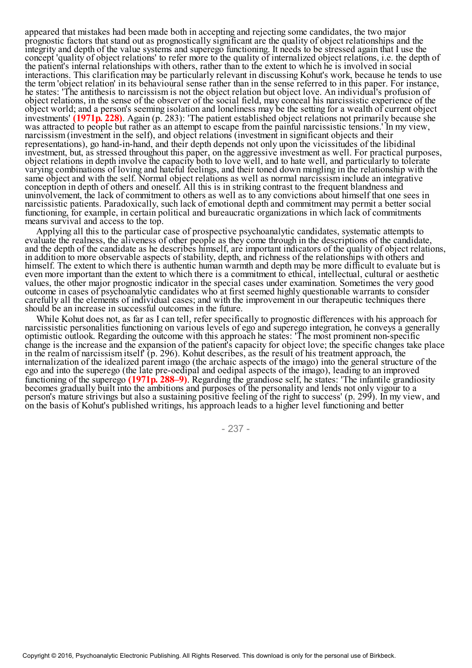appeared that mistakes had been made both in accepting and rejecting some candidates, the two major prognostic factors that stand out as prognostically significant are the quality of object relationships and the integrity and depth of the value systems and superego functioning. It needs to be stressed again that I use the concept 'quality of object relations' to refer more to the quality of internalized object relations, i.e. the depth of the patient's internal relationships with others, rather than to the extent to which he is involved in social interactions. This clarification may be particularly relevant in discussing Kohut's work, because he tends to use the term'object relation' in its behavioural sense rather than in the sense referred to in this paper. For instance, he states: 'The antithesis to narcissismis not the object relation but object love. An individual's profusion of object relations, in the sense of the observer of the social field, may conceal his narcissistic experience of the object world; and a person's seeming isolation and loneliness may be the setting for a wealth of current object investments' **(1971p. [228\)](http://www.pep-web.org/document.php?id=zbk.049.0001a#p0228)**. Again (p. 283): 'The patient established object relations not primarily because she was attracted to people but rather as an attempt to escape from the painful narcissistic tensions.' In my view, narcissism(investment in the self), and object relations (investment in significant objects and their representations), go hand-in-hand, and their depth depends not only upon the vicissitudes of the libidinal investment, but, as stressed throughout this paper, on the aggressive investment as well. For practical purposes, object relations in depth involve the capacity both to love well, and to hate well, and particularly to tolerate varying combinations of loving and hateful feelings, and their toned down mingling in the relationship with the same object and with the self. Normal object relations as well as normal narcissisminclude an integrative conception in depth of others and oneself. All this is in striking contrast to the frequent blandness and uninvolvement, the lack of commitment to others as well as to any convictions about himself that one sees in narcissistic patients. Paradoxically, such lack of emotional depth and commitment may permit a better social functioning, for example, in certain political and bureaucratic organizations in which lack of commitments means survival and access to the top.

Applying all this to the particular case of prospective psychoanalytic candidates, systematic attempts to evaluate the realness, the aliveness of other people as they come through in the descriptions of the candidate, and the depth of the candidate as he describes himself, are important indicators of the quality of object relations, in addition to more observable aspects of stability, depth, and richness of the relationships with others and himself. The extent to which there is authentic human warmth and depth may be more difficult to evaluate but is even more important than the extent to which there is a commitment to ethical, intellectual, cultural or aesthetic values, the other major prognostic indicator in the special cases under examination. Sometimes the very good outcome in cases of psychoanalytic candidates who at first seemed highly questionable warrants to consider carefully all the elements of individual cases; and with the improvement in our therapeutic techniques there

While Kohut does not, as far as I can tell, refer specifically to prognostic differences with his approach for narcissistic personalities functioning on various levels of ego and superego integration, he conveys a generally optimistic outlook. Regarding the outcome with this approach he states: 'The most prominent non-specific change is the increase and the expansion of the patient's capacity for object love; the specific changes take place in the realmof narcissismitself' (p. 296). Kohut describes, as the result of his treatment approach, the internalization of the idealized parent imago (the archaic aspects of the imago) into the general structure of the ego and into the superego (the late pre-oedipal and oedipal aspects of the imago), leading to an improved functioning of the superego **(1971p. [288–9\)](http://www.pep-web.org/document.php?id=zbk.049.0001a#p0288)**. Regarding the grandiose self, he states: 'The infantile grandiosity becomes gradually built into the ambitions and purposes of the personality and lends not only vigour to a person's mature strivings but also a sustaining positive feeling of the right to success' (p. 299). In my view, and on the basis of Kohut's published writings, his approach leads to a higher level functioning and better

- 237 -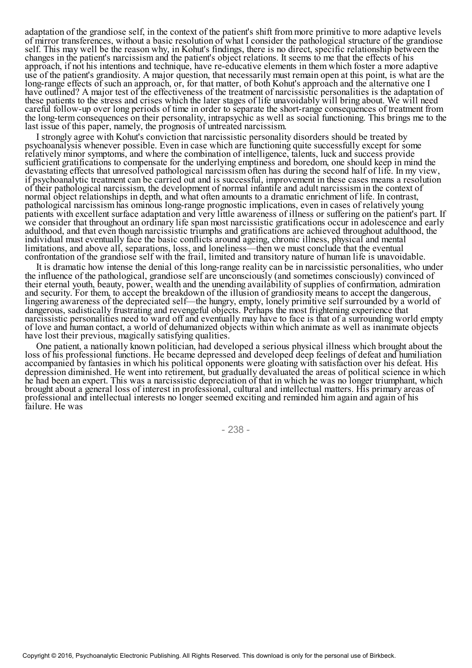adaptation of the grandiose self, in the context of the patient's shift frommore primitive to more adaptive levels of mirror transferences, without a basic resolution of what I consider the pathological structure of the grandiose self. This may well be the reason why, in Kohut's findings, there is no direct, specific relationship between the changes in the patient's narcissismand the patient's object relations. It seems to me that the effects of his approach, if not his intentions and technique, have re-educative elements in themwhich foster a more adaptive use of the patient's grandiosity. A major question, that necessarily must remain open at this point, is what are the long-range effects of such an approach, or, for that matter, of both Kohut's approach and the alternative one I have outlined? A major test of the effectiveness of the treatment of narcissistic personalities is the adaptation of these patients to the stress and crises which the later stages of life unavoidably will bring about. We will need careful follow-up over long periods of time in order to separate the short-range consequences of treatment from the long-termconsequences on their personality, intrapsychic as well as social functioning. This brings me to the last issue of this paper, namely, the prognosis of untreated narcissism.

I strongly agree with Kohut's conviction that narcissistic personality disorders should be treated by psychoanalysis whenever possible. Even in case which are functioning quite successfully except for some relatively minor symptoms, and where the combination of intelligence, talents, luck and success provide sufficient gratifications to compensate for the underlying emptiness and boredom, one should keep in mind the devastating effects that unresolved pathological narcissismoften has during the second half of life. In my view, if psychoanalytic treatment can be carried out and is successful, improvement in these cases means a resolution of their pathological narcissism, the development of normal infantile and adult narcissismin the context of normal object relationships in depth, and what often amounts to a dramatic enrichment of life. In contrast, pathological narcissismhas ominous long-range prognostic implications, even in cases of relatively young patients with excellent surface adaptation and very little awareness of illness or suffering on the patient's part. If we consider that throughout an ordinary life span most narcissistic gratifications occur in adolescence and early adulthood, and that even though narcissistic triumphs and gratifications are achieved throughout adulthood, the individual must eventually face the basic conflicts around ageing, chronic illness, physical and mental limitations, and above all, separations, loss, and loneliness—then we must conclude that the eventual confrontation of the grandiose self with the frail, limited and transitory nature of human life is unavoidable.

It is dramatic how intense the denial of this long-range reality can be in narcissistic personalities, who under the influence of the pathological, grandiose self are unconsciously (and sometimes consciously) convinced of their eternal youth, beauty, power, wealth and the unending availability of supplies of confirmation, admiration and security. For them, to accept the breakdown of the illusion of grandiosity means to accept the dangerous, lingering awareness of the depreciated self—the hungry, empty, lonely primitive self surrounded by a world of dangerous, sadistically frustrating and revengeful objects. Perhaps the most frightening experience that narcissistic personalities need to ward off and eventually may have to face is that of a surrounding world empty of love and human contact, a world of dehumanized objects within which animate as well as inanimate objects have lost their previous, magically satisfying qualities.

One patient, a nationally known politician, had developed a serious physical illness which brought about the loss of his professional functions. He became depressed and developed deep feelings of defeat and humiliation accompanied by fantasies in which his political opponents were gloating with satisfaction over his defeat. His depression diminished. He went into retirement, but gradually devaluated the areas of political science in which he had been an expert. This was a narcissistic depreciation of that in which he was no longer triumphant, which brought about a general loss of interest in professional, cultural and intellectual matters. His primary areas of professional and intellectual interests no longer seemed exciting and reminded himagain and again of his failure. He was

- 238 -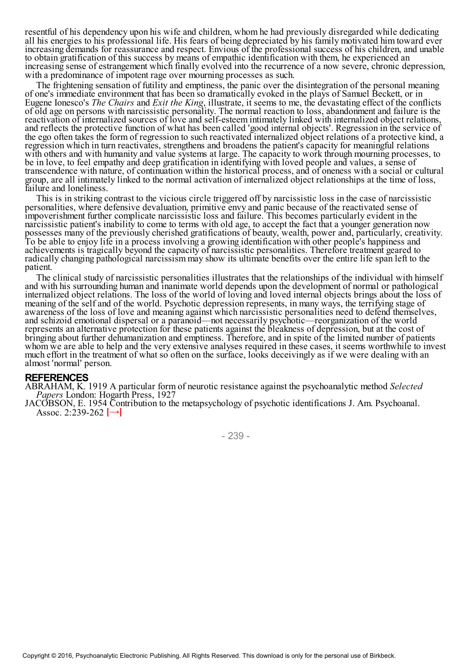resentful of his dependency upon his wife and children, whom he had previously disregarded while dedicating all his energies to his professional life. His fears of being depreciated by his family motivated himtoward ever increasing demands for reassurance and respect. Envious of the professional success of his children, and unable to obtain gratification of this success by means of empathic identification with them, he experienced an increasing sense of estrangement which finally evolved into the recurrence of a now severe, chronic depression, with a predominance of impotent rage over mourning processes as such.

The frightening sensation of futility and emptiness, the panic over the disintegration of the personal meaning of one's immediate environment that has been so dramatically evoked in the plays of Samuel Beckett, or in Eugene Ionesco's *The Chairs* and *Exit the King*, illustrate, it seems to me, the devastating effect of the conflicts of old age on persons with narcissistic personality. The normal reaction to loss, abandonment and failure is the reactivation of internalized sources of love and self-esteemintimately linked with internalized object relations, and reflects the protective function of what has been called 'good internal objects'. Regression in the service of the ego often takes the formof regression to such reactivated internalized object relations of a protective kind, a regression which in turn reactivates, strengthens and broadens the patient's capacity for meaningful relations with others and with humanity and value systems at large. The capacity to work through mourning processes, to be in love, to feel empathy and deep gratification in identifying with loved people and values, a sense of transcendence with nature, of continuation within the historical process, and of oneness with a social or cultural group, are all intimately linked to the normal activation of internalized object relationships at the time of loss, failure and loneliness.

This is in striking contrast to the vicious circle triggered off by narcissistic loss in the case of narcissistic personalities, where defensive devaluation, primitive envy and panic because of the reactivated sense of impoverishment further complicate narcissistic loss and failure. This becomes particularly evident in the narcissistic patient's inability to come to terms with old age, to accept the fact that a younger generation now possesses many of the previously cherished gratifications of beauty, wealth, power and, particularly, creativity. To be able to enjoy life in a process involving a growing identification with other people's happiness and achievements is tragically beyond the capacity of narcissistic personalities. Therefore treatment geared to radically changing pathological narcissismmay show its ultimate benefits over the entire life span left to the patient.

The clinical study of narcissistic personalities illustrates that the relationships of the individual with himself and with his surrounding human and inanimate world depends upon the development of normal or pathological internalized object relations. The loss of the world of loving and loved internal objects brings about the loss of meaning of the self and of the world. Psychotic depression represents, in many ways, the terrifying stage of awareness of the loss of love and meaning against which narcissistic personalities need to defend themselves, and schizoid emotional dispersal or a paranoid—not necessarily psychotic—reorganization of the world represents an alternative protection for these patients against the bleakness of depression, but at the cost of bringing about further dehumanization and emptiness. Therefore, and in spite of the limited number of patients whom we are able to help and the very extensive analyses required in these cases, it seems worthwhile to invest much effort in the treatment of what so often on the surface, looks deceivingly as if we were dealing with an almost 'normal' person.

#### **REFERENCES**

ABRAHAM, K. 1919 A particular formof neurotic resistance against the psychoanalytic method *Selected Papers* London: Hogarth Press, 1927

JACOBSON, E. 1954 Contribution to the metapsychology of psychotic identifications J. Am. Psychoanal. Assoc. 2:239-262 **[\[→\]](http://www.pep-web.org/document.php?id=apa.002.0239a)**

- 239 -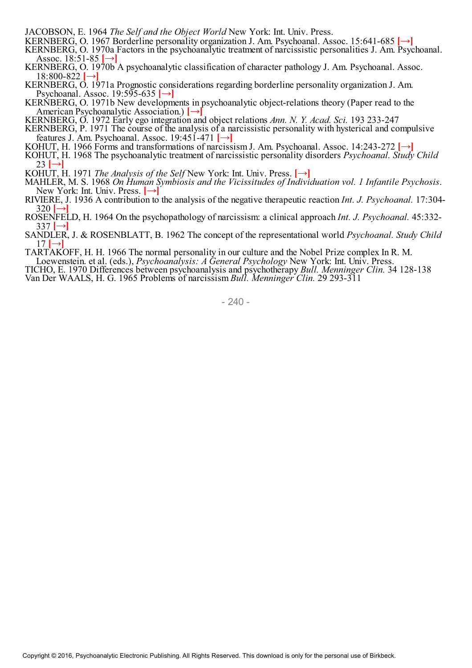JACOBSON, E. 1964 *The Self and the Object World* New York: Int. Univ. Press.

KERNBERG, O. 1967 Borderline personality organization J. Am. Psychoanal. Assoc. 15:641-685 **[\[→\]](http://www.pep-web.org/document.php?id=apa.015.0641a)**

KERNBERG, O. 1970a Factors in the psychoanalytic treatment of narcissistic personalities J. Am. Psychoanal. Assoc. 18:51-85 **[\[→\]](http://www.pep-web.org/document.php?id=apa.018.0051a)**

- KERNBERG, O. 1970b A psychoanalytic classification of character pathology J. Am. Psychoanal. Assoc. 18:800-822 **[\[→\]](http://www.pep-web.org/document.php?id=apa.018.0800a)**
- KERNBERG, O. 1971a Prognostic considerations regarding borderline personality organization J. Am. Psychoanal. Assoc. 19:595-635 **[\[→\]](http://www.pep-web.org/document.php?id=apa.019.0595a)**
- KERNBERG, O. 1971b New developments in psychoanalytic object-relations theory (Paper read to the American Psychoanalytic Association.) **[\[→\]](http://www.pep-web.org/document.php?id=paq.056.0197a)**
- KERNBERG, O. 1972 Early ego integration and object relations *Ann. N. Y. Acad. Sci.* 193 233-247
- KERNBERG, P. 1971 The course of the analysis of a narcissistic personality with hysterical and compulsive features J. Am. Psychoanal. Assoc. 19:451-471 **[\[→\]](http://www.pep-web.org/document.php?id=apa.019.0451a)**
- KOHUT, H. 1966 Forms and transformations of narcissismJ. Am. Psychoanal. Assoc. 14:243-272 **[\[→\]](http://www.pep-web.org/document.php?id=apa.014.0243a)**
- KOHUT, H. 1968 The psychoanalytic treatment of narcissistic personality disorders *Psychoanal. Study Child*  $23 \rightarrow$
- KOHUT, H. 1971 *The Analysis of the Self* New York: Int. Univ. Press.  $[\rightarrow]$
- MAHLER, M. S. 1968 On Human Symbiosis and the Vicissitudes of Individuation vol. 1 Infantile Psychosis. New York: Int. Univ. Press. **[\[→\]](http://www.pep-web.org/document.php?id=apa.015.0740a)**
- RIVIERE, J. 1936 A contribution to the analysis of the negative therapeutic reaction *Int. J. Psychoanal.* 17:304- 320 **[\[→\]](http://www.pep-web.org/document.php?id=ijp.017.0304a)**
- ROSENFELD, H. 1964 On the psychopathology of narcissism: a clinical approach *Int. J. Psychoanal.* 45:332- 337 **[\[→\]](http://www.pep-web.org/document.php?id=ijp.045.0332a)**
- SANDLER, J. & ROSENBLATT, B. 1962 The concept of the representational world *Psychoanal. Study Child*  $17 \rightarrow$
- TARTAKOFF, H. H. 1966 The normal personality in our culture and the Nobel Prize complex In R. M.
- Loewenstein. et al. (eds.), *Psychoanalysis: A General Psychology* New York: Int. Univ. Press.
- TICHO, E. 1970 Differences between psychoanalysis and psychotherapy *Bull. Menninger Clin.* 34 128-138
- Van Der WAALS, H. G. 1965 Problems of narcissism*Bull. Menninger Clin.* 29 293-311

 $-240 -$